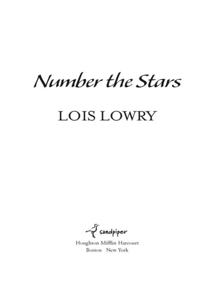Number the Stars

#### **LOIS LOWRY**

 $\sqrt{\frac{2}{\sqrt{2}}}$ sandpiper

Houghton Mifflin Harcourt Boston New York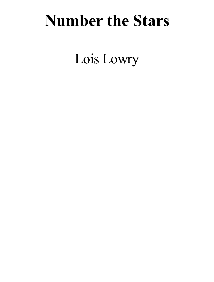# **Number the Stars**

Lois Lowry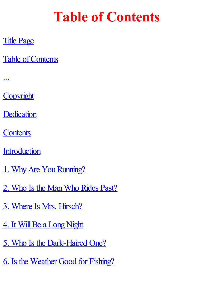## **Table of Contents**

Title Page

Table of Contents

...

**Copyright** 

**Dedication** 

**Contents** 

**Introduction** 

1. Why Are You Running?

2. Who Is the ManWho Rides Past?

3. Where Is Mrs. Hirsch?

4. It Will Be a Long Night

5. Who Is the Dark-Haired One?

6. Is the Weather Good for Fishing?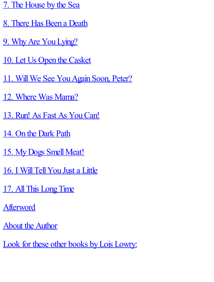- 7. The House by the Sea
- 8. There Has Been a Death
- 9. Why Are You Lying?
- 10. Let Us Open the Casket
- 11. Will We See You Again Soon, Peter?
- 12. Where Was Mama?
- 13. Run! As Fast As YouCan!
- 14. On the Dark Path
- 15. My Dogs Smell Meat!
- 16. I Will Tell You Just a Little
- 17. All This Long Time
- **Afterword**
- **About the Author**
- Look for these other books byLois Lowry: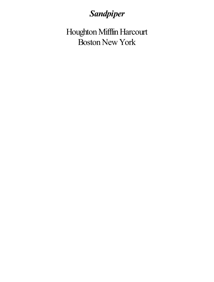#### *Sandpiper*

Houghton Mifflin Harcourt Boston New York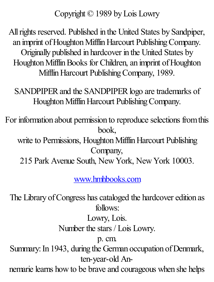Copyright ©1989 byLois Lowry

All rights reserved. Published in the United States by Sandpiper, an imprint of Houghton Mifflin Harcourt Publishing Company. Originally published in hardcover in the United States by Houghton Mifflin Books for Children, an imprint of Houghton Mifflin Harcourt Publishing Company, 1989.

SANDPIPER and the SANDPIPER logo are trademarks of Houghton Mifflin Harcourt Publishing Company.

For information about permission to reproduce selections from this book,

write to Permissions, Houghton Mifflin Harcourt Publishing Company,

215 Park Avenue South, NewYork, NewYork 10003.

www.hmhbooks.com

The Library of Congress has cataloged the hardcover edition as follows:

> Lowry, Lois. Number the stars / Lois Lowry.

> > p.cm.

Summary: In 1943, during the German occupation of Denmark, ten-year-old An-

nemarie learns how to be brave and courageous when she helps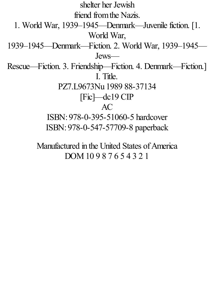shelter her Jewish friend fromthe Nazis. 1. World War, 1939–1945—Denmark—Juvenile fiction. [1. World War, 1939–1945—Denmark—Fiction. 2. World War, 1939–1945— Jews— Rescue—Fiction. 3. Friendship—Fiction. 4. Denmark—Fiction.] I. Title. PZ7.L9673Nu 1989 88-37134 [Fic]—dc19 CIP AC ISBN: 978-0-395-51060-5 hardcover ISBN: 978-0-547-57709-8 paperback

> Manufactured in the United States of America DOM10 9 8 7 6 5 4 3 2 1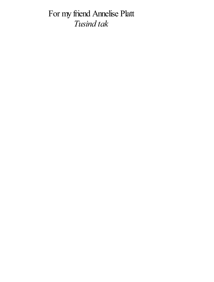For my friend Annelise Platt *Tusind tak*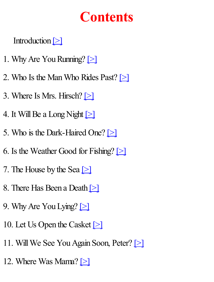### **Contents**

Introduction [>]

- 1. Why Are You Running? [>]
- 2. Who Is the ManWho Rides Past?[>]
- 3. Where Is Mrs. Hirsch?  $\triangleright$
- 4. It Will Be a Long Night  $\geq$
- 5. Who is the Dark-Haired One?[>]
- 6. Is the Weather Good for Fishing?  $\geq$
- 7. The House by the Sea[>]
- 8. There Has Been a Death [>]
- 9. Why Are You Lying?  $[>]$
- 10. Let Us Open the Casket  $\geq$
- 11. Will We See You Again Soon, Peter? [>]
- 12. Where Was Mama?[>]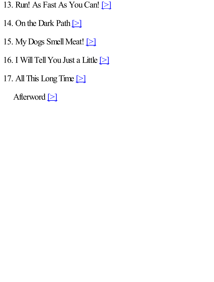- 13. Run! As Fast As YouCan! [>]
- 14. On the Dark Path  $\geq$
- 15. My Dogs Smell Meat!  $\geq$
- 16. I Will Tell You Just a Little  $\geq$
- 17. All This Long Time  $\geq$

Afterword  $\geq$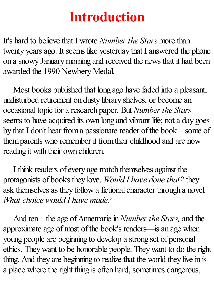### **Introduction**

It's hard to believe that I wrote *Number the Stars* more than twenty years ago. It seems like yesterday that I answered the phone on asnowy Januarymorning and received the news that it had been awarded the 1990 Newbery Medal.

Most books published that long ago have faded into a pleasant, undisturbed retirement on dusty library shelves, or becomean occasional topic for a research paper. But *Number the Stars* seems to have acquired its own long and vibrant life; not a day goes by that I don't hear from a passionate reader of the book—some of them parents who remember it from their childhood and are now reading it with their own children.

I think readers of every age match themselves against the protagonists of books they love. *Would I have done that?* they ask themselves as they follow a fictional character through a novel. *What choice would I have made?*

And ten—the age of Annemarie in *Number* the *Stars*, and the approximate age of most of the book's readers—is an age when young people are beginning to develop a strong set of personal ethics. Theywant to be honorable people. Theywant to do theright thing. And they are beginning to realize that the world they live in is a place where the right thing is often hard, sometimes dangerous,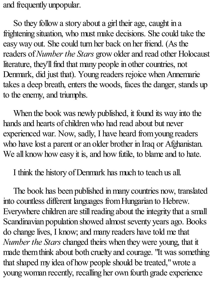and frequently unpopular.

So they follow a story about a girl their age, caught in a frightening situation, who must make decisions. She could take the easy way out. She could turn her back on her friend. (As the readers of*Number the Stars* growolderand read other Holocaust literature, they'll find that many people in other countries, not Denmark, did just that). Young readers rejoice when Annemarie takes a deep breath, enters the woods, faces the danger, stands up to the enemy, and triumphs.

When the book was newly published, it found its way into the hands and hearts of children who had read about but never experienced war. Now, sadly, I have heard fromyoung readers who have lost a parent or an older brother in Iraq or Afghanistan. We all know how easy it is, and how futile, to blame and to hate.

I think the history of Denmark has much to teach us all.

The book has been published in many countries now, translated into countless different languages fromHungarian to Hebrew. Everywhere children are still reading about the integrity that a small Scandinavian population showed almost seventy years ago. Books do change lives, I know; and many readers have told me that *Number the Stars*changed theirs when theywere young, that it made them think about both cruelty and courage. "It was something that shaped my idea of how people should be treated," wrote a young woman recently, recalling her own fourth grade experience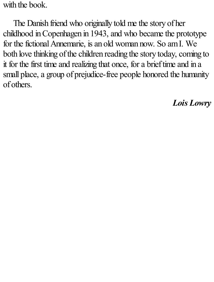with the book.

The Danish friend who originally told methestory of her childhood in Copenhagen in 1943, and who became the prototype for the fictional Annemarie, is an old woman now. So am I. We both love thinking of the children reading the story today, coming to it for the first time and realizing that once, for a brief time and in a small place, a group of prejudice-free people honored the humanity of others.

*Lois Lowry*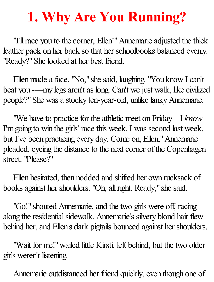### **1. Why Are You Running?**

"I'll race you to the corner, Ellen!" Annemarie adjusted the thick leather pack on her back so that her schoolbooks balanced evenly. "Ready?" She looked at her best friend.

Ellen made a face. "No," she said, laughing. "You know I can't beat you -—my legs aren't as long. Can't we just walk, like civilized people?" She was a stocky ten-year-old, unlike lanky Annemarie.

"We have to practice for the athletic meet on Friday—I *know* I'm going to win the girls' race this week. I was second last week, but I've been practicing every day. Come on, Ellen,"Annemarie pleaded, eyeing the distance to the next corner of the Copenhagen street. "Please?"

Ellen hesitated, then nodded and shifted her own rucksack of books against her shoulders. "Oh, all right. Ready," she said.

"Go!" shouted Annemarie, and the two girls were off, racing along the residential sidewalk. Annemarie's silvery blond hair flew behind her, and Ellen's dark pigtails bounced against her shoulders.

"Wait for me!" wailed little Kirsti, left behind, but the two older girls weren't listening.

Annemarie outdistanced her friend quickly, even though one of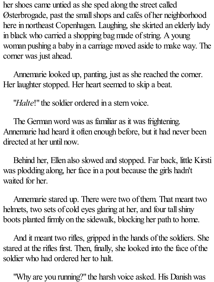her shoes came untied as she sped along the street called Østerbrogade, past the small shops and cafés of her neighborhood here in northeast Copenhagen. Laughing, she skirted an elderly lady in black who carried a shopping bag made of string. A young woman pushing a baby in a carriage moved aside to make way. The corner was just ahead.

Annemarie looked up, panting, just as she reached the corner. Her laughter stopped. Her heart seemed to skip a beat.

"*Halte*!" the soldier ordered in a stern voice.

The German word was as familiar as it was frightening. Annemarie had heard it often enough before, but it had never been directed at her until now.

Behind her, Ellen also slowed and stopped. Far back, little Kirsti was plodding along, her face in a pout because the girls hadn't waited for her.

Annemarie stared up. There were two of them. That meant two helmets, two sets of cold eyes glaring at her, and four tall shiny boots planted firmly on the sidewalk, blocking her path to home.

And it meant two rifles, gripped in the hands of the soldiers. She stared at the rifles first. Then, finally, she looked into the face of the soldier who had ordered her to halt.

"Why are you running?" the harsh voice asked. His Danish was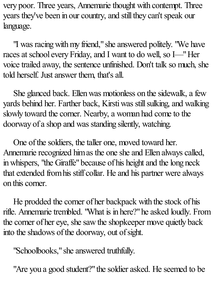very poor. Three years, Annemarie thought with contempt. Three years they've been in our country, and still they can't speak our language.

"I was racing with my friend," she answered politely. "We have races at school every Friday, and I want to do well, so I-"Her voice trailed away, the sentence unfinished. Don't talk so much, she told herself. Just answer them, that's all.

She glanced back. Ellen was motionless on the sidewalk, a few yards behind her. Farther back, Kirsti was still sulking, and walking slowly toward the corner. Nearby, a woman had come to the doorway ofashop and was standing silently, watching.

One of the soldiers, the taller one, moved toward her. Annemarie recognized him as the one she and Ellen always called, in whispers, "the Giraffe" because of his height and the long neck that extended from his stiff collar. He and his partner were always on thiscorner.

He prodded the corner of her backpack with the stock of his rifle. Annemarie trembled. "What is in here?" he asked loudly. From the corner of her eye, she saw the shopkeeper move quietly back into the shadows of the doorway, out of sight.

"Schoolbooks," she answered truthfully.

"Are you a good student?" the soldier asked. He seemed to be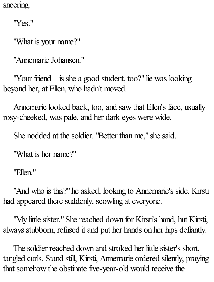sneering.

"Yes."

"What is your name?"

"Annemarie Johansen."

"Your friend—is she a good student, too?" lie was looking beyond her, at Ellen, who hadn't moved.

Annemarie looked back, too, and saw that Ellen's face, usually rosy-cheeked, was pale,and her dark eyes were wide.

She nodded at the soldier. "Better than me," she said.

"What is her name?"

"Ellen."

"And who is this?" he asked, looking to Annemarie's side. Kirsti had appeared there suddenly, scowling at everyone.

"My little sister." She reached down for Kirsti's hand, hut Kirsti, always stubborn, refused itand put her hands on her hips defiantly.

The soldier reached down and stroked her little sister's short, tangled curls. Stand still, Kirsti, Annemarie ordered silently, praying that somehow the obstinate five-year-old would receive the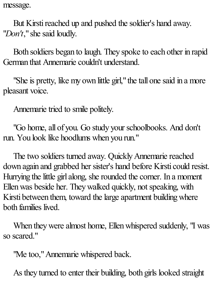message.

But Kirsti reached up and pushed the soldier's hand away. "*Don't*," she said loudly.

Both soldiers began to laugh. They spoke to each other in rapid German that Annemariecouldn't understand.

"She is pretty, like my own little girl," the tall one said in a more pleasant voice.

Annemarie tried to smile politely.

"Go home, all of you. Go study your schoolbooks. And don't run. You look like hoodlums when you run."

The two soldiers turned away. Quickly Annemarie reached down again and grabbed her sister's hand before Kirsti could resist. Hurrying the little girl along, she rounded the corner. In a moment Ellen was beside her. They walked quickly, not speaking, with Kirsti between them, toward the large apartment building where both families lived.

When they were almost home, Ellen whispered suddenly, "I was so scared."

"Me too," Annemarie whispered back.

As they turned to enter their building, both girls looked straight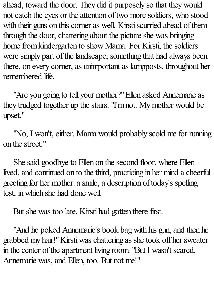ahead, toward the door. They did it purposely so that theywould not catch the eyes or the attention of two more soldiers, who stood with their guns on this corner as well. Kirsti scurried ahead of them through the door, chattering about the picture she was bringing home from kindergarten to show Mama. For Kirsti, the soldiers were simply part of the landscape, something that had always been there, on every corner, as unimportant as lampposts, throughout her remembered life.

"Are you going to tell your mother?" Ellen asked Annemarie as they trudged together up the stairs. "I'm not. My mother would be upset."

"No, I won't, either. Mama would probably scold me for running on the street."

She said goodbye to Ellen on the second floor, where Ellen lived, and continued on to the third, practicing in her mind a cheerful greeting for her mother: a smile, a description of today's spelling test, inwhich she had done well.

But she was too late. Kirsti had gotten there first.

"And he poked Annemarie's book bag with his gun, and then he grabbed my hair!"Kirstiwaschattering as shetook off her sweater in the center of the apartment living room. "But I wasn't scared. Annemarie was, and Ellen, too. But not me!"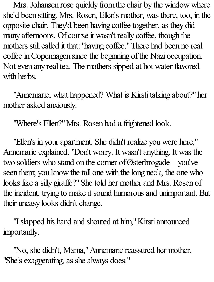Mrs. Johansen rose quickly from the chair by the window where she'd been sitting. Mrs. Rosen, Ellen's mother, was there, too, in the opposite chair. They'd been having coffee together, as they did many afternoons. Of course it wasn't really coffee, though the mothers still called it that: "having coffee." There had been no real coffee in Copenhagen since the beginning of the Nazi occupation. Not even any real tea. The mothers sipped at hot water flavored with herbs.

"Annemarie, what happened? What is Kirsti talking about?" her mother asked anxiously.

"Where's Ellen?" Mrs. Rosen had a frightened look.

"Ellen's in your apartment. She didn't realize you were here," Annemarie explained. "Don't worry. It wasn't anything. It was the two soldiers who stand on the corner of Østerbrogade—you've seen them; you know the tall one with the long neck, the one who looks like a silly giraffe?" She told her mother and Mrs. Rosen of the incident, trying to make it sound humorous and unimportant. But their uneasy looks didn't change.

"I slapped his hand and shouted at him,"Kirstiannounced importantly.

"No, she didn't, Mama," Annemarie reassured her mother. "She's exaggerating, as she always does."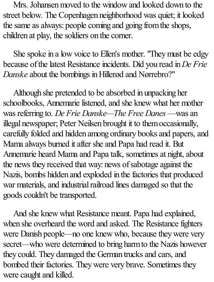Mrs. Johansen moved to the window and looked down to the street below. The Copenhagen neighborhood was quiet; it looked the same as always: people coming and going from the shops, children at play, the soldiers on the corner.

She spoke in a low voice to Ellen's mother. "They must be edgy because of the latest Resistance incidents. Did you read in *De Frie Danske* about the bombings in Hillerød and Nørrebro?"

Although she pretended to be absorbed in unpacking her schoolbooks, Annemarie listened, and she knew what her mother was referring to. *De Frie Danske—The Free Danes* —wasan illegal newspaper; Peter Neilsen brought it to themoccasionally, carefully folded and hidden among ordinary books and papers, and Mama always burned it after she and Papa had read it. But Annemarie heard Mama and Papa talk, sometimes at night, about the news they received that way: news of sabotage against the Nazis, bombs hidden and exploded in the factories that produced war materials, and industrial railroad lines damaged so that the goods couldn't be transported.

And she knewwhat Resistance meant. Papa had explained, when she overheard the word and asked. The Resistance fighters were Danish people—no one knew who, because they were very secret—who were determined to bring harmto the Nazis however they could. They damaged the German trucks and cars, and bombed their factories. Theywere very brave. Sometimes they were caught and killed.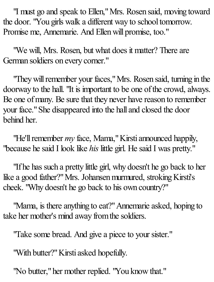"I must go and speak to Ellen,"Mrs. Rosen said, moving toward the door. "You girls walk a different way to school tomorrow. Promise me, Annemarie. And Ellen will promise, too."

"We will, Mrs. Rosen, but what does it matter? There are German soldiers on every corner."

"They will remember your faces," Mrs. Rosen said, turning in the doorway to the hall. "It is important to be one of the crowd, always. Be one of many. Be sure that they never have reason to remember your face."She disappeared into the halland closed the door behind her.

"He'll remember *my* face, Mama," Kirsti announced happily, "because hesaid I look like *his* little girl. Hesaid I was pretty."

"If he has such a pretty little girl, why doesn't he go back to her like a good father?" Mrs. Johansen murmured, stroking Kirsti's cheek. "Why doesn't he go back to his own country?"

"Mama, is there anything to eat?" Annemarie asked, hoping to take her mother's mind away from the soldiers.

"Take some bread. And give a piece to your sister."

"With butter?"Kirstiasked hopefully.

"No butter,"her mother replied. "You knowthat."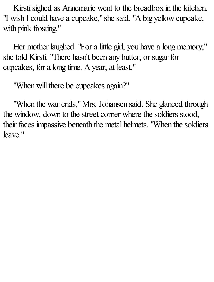Kirsti sighed as Annemarie went to the breadbox in the kitchen. "I wish I could have a cupcake," she said. "A big yellow cupcake, with pink frosting."

Her mother laughed. "For a little girl, you have a long memory," shetold Kirsti. "There hasn't been any butter, or sugar for cupcakes, for a long time. A year, at least."

"When will there be cupcakes again?"

"When the warends,"Mrs. Johansen said. She glanced through the window, down to the street corner where the soldiers stood. their faces impassive beneath the metal helmets. "When the soldiers leave."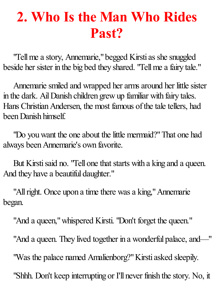### **2. Who Is the Man Who Rides Past?**

"Tell me a story, Annemarie," begged Kirsti as she snuggled beside her sister in the big bed they shared. "Tell me a fairy tale."

Annemarie smiled and wrapped her arms around her little sister in the dark. AilDanish children grewup familiar with fairy tales. Hans Christian Andersen, the most famous of the tale tellers, had beenDanish himself.

"Do you want the one about the little mermaid?" That one had always beenAnnemarie's own favorite.

But Kirsti said no. "Tell one that starts with a king and a queen. And they have a beautiful daughter."

"All right. Once upon a time there was a king," Annemarie began.

"And a queen,"whispered Kirsti. "Don't forget the queen."

"And a queen. They lived together in a wonderful palace, and—"

"Was the palace named Amalienborg?"Kirstiasked sleepily.

"Shhh. Don't keep interrupting or I'll never finish the story. No, it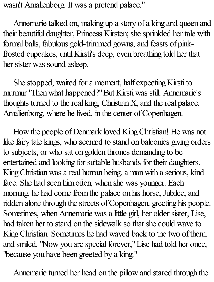wasn't Amalienborg. It was a pretend palace."

Annemarie talked on, making up a story of a king and queen and their beautiful daughter, Princess Kirsten; she sprinkled her tale with formal balls, fabulous gold-trimmed gowns, and feasts of pinkfrosted cupcakes, until Kirsti's deep, even breathing told her that her sister was sound asleep.

She stopped, waited for a moment, half expecting Kirsti to murmur "Then what happened?" But Kirsti was still. Annemarie's thoughts turned to the real king, Christian X, and the real palace, Amalienborg, where he lived, in the center of Copenhagen.

Howthe people ofDenmark loved KingChristian! He was not like fairy tale kings, who seemed to stand on balconies giving orders to subjects, or who sat on golden thrones demanding to be entertained and looking for suitable husbands for their daughters. King Christian was a real human being, a man with a serious, kind face. She had seen himoften, when she was younger. Each morning, he had come from the palace on his horse, Jubilee, and ridden alone through the streets of Copenhagen, greeting his people. Sometimes, when Annemarie was a little girl, her older sister, Lise, had taken her to stand on the sidewalk so that she could wave to King Christian. Sometimes he had waved back to the two of them, and smiled. "Now you are special forever," Lise had told her once, "because you have been greeted by a king."

Annemarie turned her head on the pillow and stared through the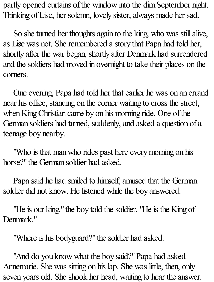partly opened curtains of the window into the dim September night. Thinking ofLise, her solemn, lovely sister,always made her sad.

So she turned her thoughts again to the king, who was still alive, as Lise was not. She remembered a story that Papa had told her, shortly after the war began, shortly after Denmark had surrendered and the soldiers had moved in overnight to take their places on the corners.

One evening, Papa had told her that earlier he was on an errand near his office, standing on the corner waiting to cross the street, when King Christian came by on his morning ride. One of the German soldiers had turned, suddenly, and asked a question of a teenage boy nearby.

"Who is that man who rides past here every morning on his horse?" the German soldier had asked.

Papa said he had smiled to himself, amused that the German soldier did not know. He listened while the boy answered.

"He is our king," the boy told the soldier. "He is the King of Denmark."

"Where is his bodyguard?" the soldier had asked.

"And do you know what the boy said?" Papa had asked Annemarie. She was sitting on his lap. She was little, then, only seven years old. She shook her head, waiting to hear the answer.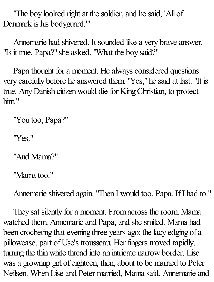"The boy looked right at the soldier, and he said, 'All of Denmark is his bodyguard.'"

Annemarie had shivered. It sounded like a very brave answer. "Is it true, Papa?" she asked. "What the boy said?"

Papa thought for a moment. He always considered questions very carefully before he answered them. "Yes," he said at last. "It is true. AnyDanish citizenwould diefor KingChristian, to protect him."

"You too, Papa?"

"Yes."

"And Mama?"

"Mamatoo."

Annemarie shivered again. "Then I would too, Papa. If I had to."

They sat silently for a moment. From across the room, Mama watched them, Annemarie and Papa, and she smiled. Mama had been crocheting that evening three years ago: the lacy edging of a pillowcase, part ofUse's trousseau. Her fingers moved rapidly, turning the thin white thread into an intricate narrow border. Lise was a grownup girl of eighteen, then, about to be married to Peter Neilsen. When Lise and Peter married, Mama said, Annemarie and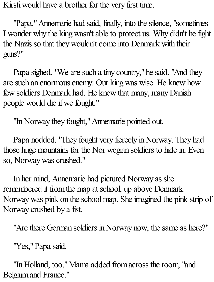Kirstiwould havea brother for the very first time.

"Papa," Annemarie had said, finally, into the silence, "sometimes" I wonder why the king wasn't able to protect us. Why didn't he fight the Nazis so that they wouldn't come into Denmark with their guns?"

Papa sighed. "We are such a tiny country," he said. "And they are such an enormous enemy. Our king was wise. He knew how few soldiers Denmark had. He knew that many, many Danish people would die if we fought."

"InNorway they fought,"Annemarie pointed out.

Papa nodded. "They fought very fiercely in Norway. They had those huge mountains for the Nor wegian soldiers to hide in. Even so, Norway was crushed."

In her mind, Annemarie had pictured Norway as she remembered it fromthe map atschool, up above Denmark. Norway was pink on the school map. She imagined the pink strip of Norway crushed by a fist.

"Are there German soldiers in Norway now, the same as here?"

"Yes," Papa said.

"In Holland, too," Mama added from across the room, "and Belgiumand France."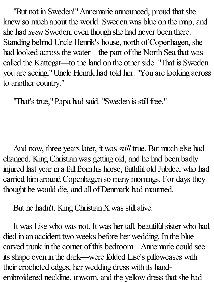"But not in Sweden!" Annemarie announced, proud that she knew so much about the world. Sweden was blue on the map, and she had *seen* Sweden, even though she had never been there. Standing behind Uncle Henrik's house, north of Copenhagen, she had looked across the water—the part of the North Sea that was called the Kattegat—to the land on the other side. "That is Sweden you areseeing,"Uncle Henrik had told her. "You arelooking across to another country."

"That's true." Papa had said. "Sweden is still free."

And now, three years later, it was *still* true. But much else had changed. KingChristianwas getting old,and he had been badly injured last year in a fall from his horse, faithful old Jubilee, who had carried himaround Copenhagen so manymornings. For days they thought he would die, and all of Denmark had mourned.

But he hadn't. King Christian X was still alive.

It was Lise who was not. It was her tall, beautiful sister who had died in an accident two weeks before her wedding. In the blue carved trunk in the corner of this bedroom—Annemarie could see its shape even in the dark—were folded Lise's pillowcases with their crocheted edges, her wedding dress with its handembroidered neckline, unworn, and the yellow dress that she had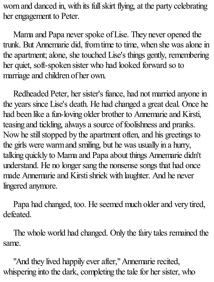worn and danced in, with its full skirt flying, at the party celebrating her engagement to Peter.

Mamaand Papa never spoke ofLise. They never opened the trunk. But Annemarie did, from time to time, when she was alone in the apartment; alone, she touched Lise's things gently, remembering her quiet, soft-spoken sister who had looked forward so to marriage and children of her own.

Redheaded Peter, her sister's fiance, had not married anyone in the years since Lise's death. He had changed a great deal. Once he had been like a fun-loving older brother to Annemarie and Kirsti, teasing and tickling, always a source of foolishness and pranks. Now he still stopped by the apartment often, and his greetings to the girls were warmand smiling, but he was usually in a hurry, talking quickly to Mama and Papa about things Annemarie didn't understand. He no longer sang the nonsense songs that had once made Annemarie and Kirsti shriek with laughter. And he never lingered anymore.

Papa had changed, too. He seemed much older and very tired, defeated.

The whole world had changed. Only the fairy tales remained the same.

"And they lived happily ever after," Annemarie recited, whispering into the dark, completing the tale for her sister, who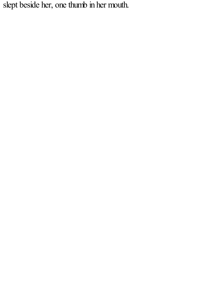slept beside her, one thumb in her mouth.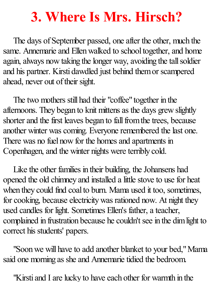#### **3. Where Is Mrs. Hirsch?**

The days of September passed, one after the other, much the same. Annemarie and Ellen walked to school together, and home again, always now taking the longer way, avoiding the tall soldier and his partner. Kirsti dawdled just behind themor scampered ahead, never out of their sight.

The two mothers still had their "coffee" together in the afternoons. They began to knit mittens as the days grew slightly shorter and the first leaves began to fall from the trees, because another winter was coming. Everyone remembered the last one. There was no fuel now for the homes and apartments in Copenhagen, and the winter nights were terribly cold.

Like the other families in their building, the Johansens had opened the old chimney and installed a little stove to use for heat when they could find coal to burn. Mama used it too, sometimes, for cooking, because electricity was rationed now. At night they used candles for light. Sometimes Ellen's father, a teacher, complained in frustration because he couldn't see in the dim light to correct his students' papers.

"Soon we will have to add another blanket to your bed," Mama said one morning as she and Annemarie tidied the bedroom.

"Kirsti and I are lucky to have each other for warmth in the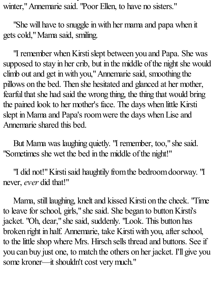$\mathbf{v}$  to have ach other for warmth in the warmth in the warmth in the warmth in the warmth in the warmth in the warmth in the warmth in the warmth in the warmth in the warmth in the warmth in the warmth in the warmth i winter." Annemarie said. "Poor Ellen, to have no sisters."

"She will have to snuggle in with her mama and papa when it gets cold," Mama said, smiling.

"I remember whenKirstislept between you and Papa. She was supposed to stay in her crib, but in the middle of the night she would climb outand get inwith you,"Annemariesaid, smoothing the pillows on the bed. Then she hesitated and glanced at her mother, fearful that she had said the wrong thing, the thing that would bring the pained look to her mother's face. The days when little Kirsti slept in Mama and Papa's room were the days when Lise and Annemarie shared this bed.

But Mama was laughing quietly. "I remember, too," she said. "Sometimes she wet the bed in the middle of the night!"

"I did not!"Kirstisaid haughtily fromthe bedroomdoorway. "I never,*ever* did that!"

Mama, still laughing, knelt and kissed Kirsti on the cheek. "Time to leave for school, girls," she said. She began to button Kirsti's jacket. "Oh, dear,"shesaid, suddenly. "Look. This button has broken right in half. Annemarie, take Kirsti with you, after school, to the little shop where Mrs. Hirsch sells thread and buttons. See if you can buy just one, to match the others on her jacket. I'll give you some kroner—it shouldn't cost very much."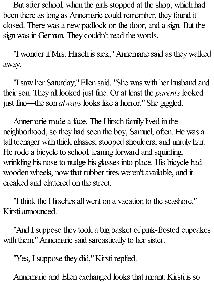But after school, when the girls stopped at the shop, which had been there as long as Annemarie could remember, they found it closed. There was a new padlock on the door, and a sign. But the signwas inGerman. They couldn't read the words.

"I wonder ifMrs. Hirsch is sick,"Annemariesaid as theywalked away.

"I sawher Saturday,"Ellen said. "She was with her husband and their son. They alllooked just fine. Orat least the *parents* looked just fine—the son *always* looks like a horror." She giggled.

Annemarie made a face. The Hirsch family lived in the neighborhood, so they had seen the boy, Samuel, often. He wasa tall teenager with thick glasses, stooped shoulders, and unruly hair. He rode a bicycle to school, leaning forward and squinting, wrinkling his nose to nudge his glasses into place. His bicycle had wooden wheels, now that rubber tires weren't available, and it creaked and clattered on the street.

"I think the Hirsches all went on a vacation to the seashore," Kirstiannounced.

"And I suppose they took a big basket of pink-frosted cupcakes with them," Annemarie said sarcastically to her sister.

"Yes, I suppose they did," Kirsti replied.

Annemarie and Ellen exchanged looks that meant: Kirsti is so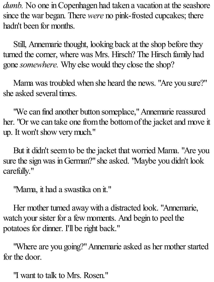*dumb*. No one in Copenhagen had taken a vacation at the seashore since the war began. There *were* no pink-frosted cupcakes; there hadn't been for months.

Still, Annemarie thought, looking back at the shop before they turned the corner, where was Mrs. Hirsch? The Hirsch family had gone *somewhere*. Why else would they close the shop?

Mama was troubled when she heard the news. "Are you sure?" she asked several times.

"We can find another button someplace," Annemarie reassured her. "Or we can take one from the bottom of the jacket and move it up. It won't show very much."

But it didn't seem to be the jacket that worried Mama. "Are you sure the sign was in German?" she asked. "Maybe you didn't look carefully."

"Mama, it had a swastika on it."

Her mother turned away with a distracted look. "Annemarie, watch your sister for a few moments. And begin to peel the potatoes for dinner. I'll be right back."

"Where are you going?" Annemarie asked as her mother started for the door.

"I want to talk to Mrs. Rosen."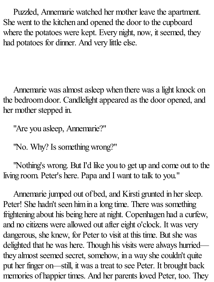Puzzled, Annemarie watched her mother leave the apartment. She went to the kitchen and opened the door to thecupboard where the potatoes were kept. Every night, now, it seemed, they had potatoes for dinner. And very little else.

Annemarie was almost asleep when there was a light knock on the bedroom door. Candlelight appeared as the door opened, and her mother stepped in.

"Are you asleep, Annemarie?"

"No. Why? Is something wrong?"

"Nothing's wrong. But I'd like you to get up and come out to the living room. Peter's here. Papa and I want to talk to you."

Annemarie jumped out of bed, and Kirsti grunted in her sleep. Peter! She hadn't seen him in a long time. There was something frightening about his being here at night. Copenhagen had a curfew, and no citizens were allowed out after eight o'clock. It was very dangerous, she knew, for Peter to visit at this time. But she was delighted that he was here. Though his visits were always hurried they almost seemed secret, somehow, in a way she couldn't quite put her finger on—still, it was a treat to see Peter. It brought back memories of happier times. And her parents loved Peter, too. They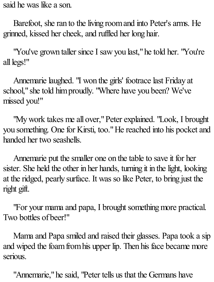said he was like a son.

Barefoot, she ran to the living room and into Peter's arms. He grinned, kissed her cheek, and ruffled her long hair.

"You've grown taller since I saw you last," he told her. "You're all legs!"

Annemarie laughed. "I won the girls' footrace last Friday at school," she told him proudly. "Where have you been? We've missed you!"

"My work takes me all over," Peter explained. "Look, I brought you something. One for Kirsti, too." He reached into his pocket and handed her two seashells.

Annemarie put the smaller one on the table to save it for her sister. She held the other in her hands, turning it in the light, looking at the ridged, pearly surface. It was so like Peter, to bring just the right gift.

"For your mama and papa, I brought something more practical. Two bottles of beer!"

Mama and Papa smiled and raised their glasses. Papa took a sip and wiped the foam from his upper lip. Then his face became more serious.

"Annemarie," he said, "Peter tells us that the Germans have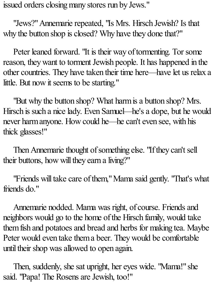issued orders closing many stores run by Jews."

"Jews?" Annemarie repeated, "Is Mrs. Hirsch Jewish? Is that why the button shop is closed? Why have they done that?"

Peter leaned forward. "It is their way of tormenting. Tor some reason, they want to torment Jewish people. It has happened in the other countries. They have taken their time here—have let us relax a little. But now it seems to be starting."

"But why the button shop? What harm is a button shop? Mrs. Hirsch is such a nice lady. Even Samuel—he's a dope, but he would never harm anyone. How could he—he can't even see, with his thick glasses!"

Then Annemarie thought of something else. "If they can't sell their buttons, how will they earn a living?"

"Friends will take care of them," Mama said gently. "That's what friends do."

Annemarie nodded. Mama was right, of course. Friends and neighbors would go to the home ofthe Hirsch family, would take them fish and potatoes and bread and herbs for making tea. Maybe Peter would even take them a beer. They would be comfortable until their shop was allowed to open again.

Then, suddenly, she sat upright, her eyes wide. "Mama!" she said. "Papa! The Rosens are Jewish, too!"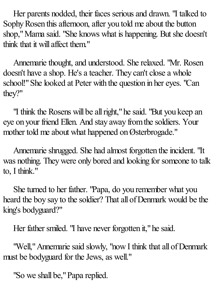Her parents nodded, their faces serious and drawn. "I talked to Sophy Rosen this afternoon, after you told me about the button shop," Mama said. "She knows what is happening. But she doesn't think that it willaffect them."

Annemarie thought, and understood. She relaxed. "Mr. Rosen doesn't have a shop. He's a teacher. They can't close a whole school!" She looked at Peter with the question in her eyes. "Can they?"

"I think the Rosens will beallright,"hesaid. "But you keep an eye on your friend Ellen. And stay away from the soldiers. Your mother told me about what happened on Østerbrogade."

Annemarie shrugged. She had almost forgotten the incident. "It was nothing. They were only bored and looking for someone to talk to, I think."

She turned to her father. "Papa, do you remember what you heard the boy say to the soldier? That all of Denmark would be the king's bodyguard?"

Her father smiled. "I have never forgotten it," he said.

"Well," Annemarie said slowly, "now I think that all of Denmark must be bodyguard for the Jews, as well."

"So we shall be," Papa replied.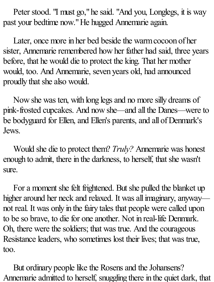Peter stood. "I must go,"hesaid. "And you, Longlegs, it is way past your bedtime now." He hugged Annemarie again.

Later, once more in her bed beside the warm cocoon of her sister, Annemarie remembered how her father had said, three years before, that he would die to protect the king. That her mother would, too. And Annemarie, seven years old, had announced proudly that she also would.

Now she was ten, with long legs and no more silly dreams of pink-frosted cupcakes. And now she—and all the Danes—were to be bodyguard for Ellen, and Ellen's parents, and all of Denmark's Jews.

Would she dieto protect them? *Truly?* Annemarie was honest enough to admit, there in the darkness, to herself, that she wasn't sure.

For a moment she felt frightened. But she pulled the blanket up higher around her neck and relaxed. It was all imaginary, anyway not real. It was only in the fairy tales that people were called upon to be so brave, to die for one another. Not in real-life Denmark. Oh, there were the soldiers; that was true. And the courageous Resistance leaders, who sometimes lost their lives; that was true, too.

But ordinary people like the Rosens and the Johansens? Annemarie admitted to herself, snuggling there in the quiet dark, that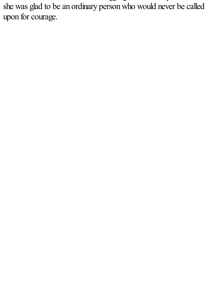$A_n = \infty$  and the  $\infty$  snuggling the  $\mathbf{r}_n$ she was glad to be an ordinary person who would never be called upon for courage.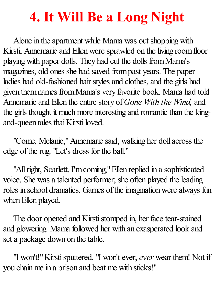## **4. It Will Be a Long Night**

Alone in the apartment while Mama was out shopping with Kirsti, Annemarie and Ellen were sprawled on the living room floor playingwith paper dolls. They had cut the dolls fromMama's magazines, old ones she had saved frompast years. The paper ladies had old-fashioned hair styles and clothes, and the girls had given themnames fromMama's very favorite book. Mama had told Annemarie and Ellen the entire story of *Gone With the Wind*, and the girls thought it much more interesting and romantic than the kingand-queen tales thai Kirsti loved.

"Come, Melanie,"Annemariesaid, walking her dollacross the edge of the rug. "Let's dress for the ball."

"All right, Scarlett, I'm coming," Ellen replied in a sophisticated voice. She was a talented performer; she often played the leading roles in school dramatics. Games of the imagination were always fun when Ellen played.

The door opened and Kirsti stomped in, her face tear-stained and glowering. Mamafollowed her with an exasperated look and set a package down on the table.

"I won't!"Kirstisputtered. "I won'tever,*ever* wear them! Not if you chain me in a prison and beat me with sticks!"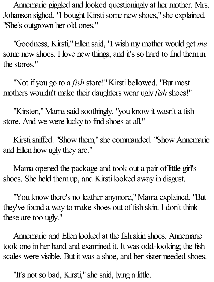Annemarie giggled and looked questioningly at her mother. Mrs. Johansen sighed. "I bought Kirsti some new shoes," she explained. "She's outgrown her old ones."

"Goodness, Kirsti,"Ellen said, "I wishmymother would get *me* some new shoes. I love new things, and it's so hard to find them in the stores."

"Not if you go to a *fish* store!" Kirsti bellowed. "But most mothers wouldn't make their daughters wear ugly *fish* shoes!"

"Kirsten," Mama said soothingly, "you know it wasn't a fish store. And we were lucky to find shoes at all."

Kirsti sniffed. "Show them," she commanded. "Show Annemarie and Ellen howugly they are."

Mama opened the package and took out a pair of little girl's shoes. She held them up, and Kirsti looked away in disgust.

"You know there's no leather anymore," Mama explained. "But they've found a way to make shoes out of fish skin. I don't think these are too ugly."

Annemarie and Ellen looked at the fish skin shoes. Annemarie took one in her hand and examined it. It was odd-looking; the fish scales were visible. But it was a shoe, and her sister needed shoes.

"It's not so bad, Kirsti," she said, lying a little.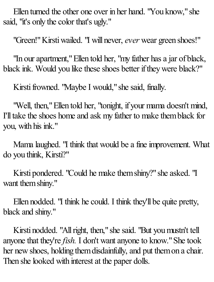Ellen turned the other one over in her hand. "You know,"she said. "it's only the color that's ugly."

"Green!"Kirstiwailed. "I will never,*ever* wear green shoes!"

"In our apartment," Ellen told her, "my father has a jar of black, black ink. Would you like these shoes better if they were black?"

Kirsti frowned. "Maybe I would," she said, finally.

"Well, then," Ellen told her, "tonight, if your mama doesn't mind, I'll take the shoes home and ask my father to make them black for you, with his ink."

Mama laughed. "I think that would be a fine improvement. What do you think, Kirsti?"

Kirsti pondered. "Could he make them shiny?" she asked. "I want themshiny."

Ellen nodded. "I think hecould. I think they'll be quite pretty, black and shiny."

Kirsti nodded. "All right, then," she said. "But you mustn't tell anyone that they're *fish*. I don't want anyone to know." She took her new shoes, holding them disdainfully, and put them on a chair. Then she looked with interest at the paper dolls.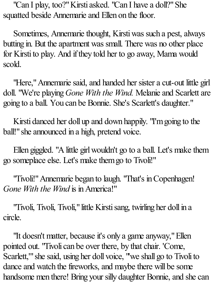"Can I play, too?" Kirsti asked. "Can I have a doll?" She squatted beside Annemarie and Ellen on the floor.

Sometimes, Annemarie thought, Kirsti was such a pest, always butting in. But the apartment was small. There was no other place for Kirsti to play. And if they told her to go away, Mama would scold.

"Here," Annemarie said, and handed her sister a cut-out little girl doll. "We're playing*Gone With the Wind.* Melanieand Scarlettare going to a ball. You can be Bonnie. She's Scarlett's daughter."

Kirsti danced her doll up and down happily. "I'mgoing to the ball!" she announced in a high, pretend voice.

Ellen giggled. "A little girl wouldn't go to a ball. Let's make them go someplace else. Let's make them go to Tivoli!"

"Tivoli!"Annemarie began to laugh. "That's inCopenhagen! *Gone With the Wind* is in America!"

"Tivoli, Tivoli, Tivoli," little Kirsti sang, twirling her doll in a circle.

"It doesn't matter, because it's only a game anyway," Ellen pointed out. "Tivoli can be over there, by that chair. 'Come, Scarlett," she said, using her doll voice, "we shall go to Tivoli to dance and watch the fireworks, and maybe there will be some handsome men there! Bring your silly daughter Bonnie, and she can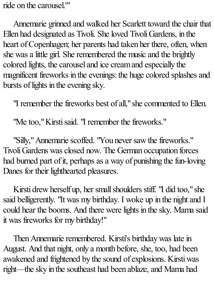ride on the carousel.'"

Annemarie grinned and walked her Scarlett toward thechair that Ellen had designated as Tivoli. Sheloved TivoliGardens, in the heart ofCopenhagen; her parents had taken her there, often, when she was a little girl. She remembered the music and the brightly colored lights, the carousel and ice cream and especially the magnificent fireworks in the evenings: the huge colored splashes and bursts of lights in the evening sky.

"I remember the fireworks best of all," she commented to Ellen.

"Me too." Kirsti said. "I remember the fireworks."

"Silly," Annemarie scoffed. "You never saw the fireworks." Tivoli Gardens was closed now. The German occupation forces had burned part of it, perhaps as a way of punishing the fun-loving Danes for their lighthearted pleasures.

Kirsti drew herself up, her small shoulders stiff. "I did too," she said belligerently. "It was my birthday. I woke up in the night and I could hear the booms. And there were lights in the sky. Mama said it was fireworks for my birthday!"

Then Annemarie remembered. Kirsti's birthday was late in August. And that night, only a month before, she, too, had been awakened and frightened by the sound of explosions. Kirsti was right—the sky in the southeast had been ablaze, and Mama had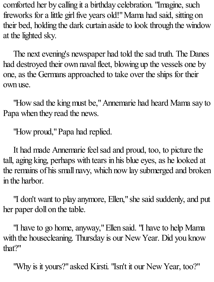comforted her by calling it a birthday celebration. "Imagine, such fireworks for a little girl five years old!" Mama had said, sitting on their bed, holding the dark curtain aside to look through the window at the lighted sky.

The next evening's newspaper had told the sad truth. The Danes had destroyed their own naval fleet, blowing up the vessels one by one, as the Germans approached to take over the ships for their own use.

"How sad the king must be," Annemarie had heard Mama say to Papa when they read the news.

"Howproud,"Papa had replied.

It had made Annemarie feel sad and proud, too, to picture the tall, aging king, perhaps with tears in his blue eyes, as he looked at the remains of his small navy, which now lay submerged and broken in the harbor.

"I don't want to play anymore, Ellen,"shesaid suddenly,and put her paper doll on the table.

"I have to go home, anyway," Ellen said. "I have to help Mama with the housecleaning. Thursday is our New Year. Did you know that?"

"Why is it yours?" asked Kirsti. "Isn't it our New Year, too?"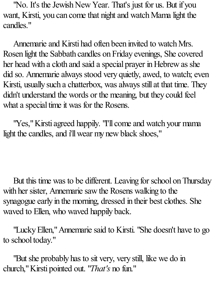"No. It's the Jewish New Year. That's just for us. But if you want, Kirsti, you can come that night and watch Mama light the candles."

Annemarie and Kirsti had often been invited to watch Mrs. Rosen light the Sabbath candles on Friday evenings, She covered her head with a cloth and said a special prayer in Hebrew as she did so. Annemarie always stood very quietly, awed, to watch; even Kirsti, usually such a chatterbox, was always still at that time. They didn't understand the words or the meaning, but they could feel what a special time it was for the Rosens.

"Yes," Kirsti agreed happily. "I'll come and watch your mama light the candles, and i'll wear my new black shoes,"

But this time was to be different. Leaving for school onThursday with her sister, Annemarie saw the Rosens walking to the synagogue early in the morning, dressed in their best clothes. She waved to Ellen, who waved happily back.

"Lucky Ellen," Annemarie said to Kirsti. "She doesn't have to go to school today."

"But she probably has to sit very, very still, like we do in church,"Kirsti pointed out. "*That's* no fun."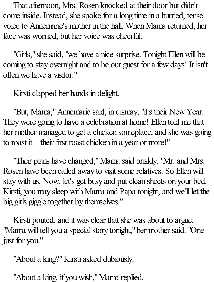Thatafternoon, Mrs. Rosen knocked at their door but didn't come inside. Instead, she spoke for a long time in a hurried, tense voice to Annemarie's mother in the hall. When Mama returned, her face was worried, but her voice was cheerful.

"Girls," she said, "we have a nice surprise. Tonight Ellen will be coming to stay overnight and to be our guest for a few days! It isn't oftenwe havea visitor."

Kirsticlapped her hands in delight.

"But, Mama,"Annemariesaid, in dismay, "it's their NewYear. They were going to have a celebration at home! Ellen told me that her mother managed to get a chicken someplace, and she was going to roast it—their first roast chicken in a year or more!"

"Their plans have changed," Mama said briskly. "Mr. and Mrs. Rosen have been called away to visit some relatives. So Ellen will stay with us. Now, let's get busy and put clean sheets on your bed. Kirsti, you may sleep with Mama and Papa tonight, and we'll let the big girls giggle together by themselves."

Kirsti pouted, and it was clear that she was about to argue. "Mama will tell you a special story tonight," her mother said. "One just for you."

"About a king?" Kirsti asked dubiously.

"About a king, if you wish," Mama replied.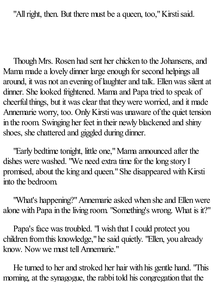"All right, then. But there must be a queen, too," Kirsti said.

Though Mrs. Rosen had sent her chicken to the Johansens, and Mama made a lovely dinner large enough for second helpings all around, it was not an evening of laughter and talk. Ellen was silent at dinner. She looked frightened. Mama and Papa tried to speak of cheerful things, but it was clear that they were worried, and it made Annemarie worry, too. Only Kirsti was unaware of the quiet tension in the room. Swinging her feet in their newly blackened and shiny shoes, she chattered and giggled during dinner.

"Early bedtime tonight, little one," Mama announced after the dishes were washed. "We need extra time for the long story I promised, about the king and queen." She disappeared with Kirsti into the bedroom.

"What's happening?" Annemarie asked when she and Ellen were alone with Papa in the living room. "Something's wrong. What is it?"

Papa's face was troubled. "I wish that I could protect you children fromthis knowledge,"hesaid quietly. "Ellen, you already know. Now we must tell Annemarie."

He turned to her and stroked her hair with his gentle hand. "This morning, at the synagogue, the rabbitold his congregation that the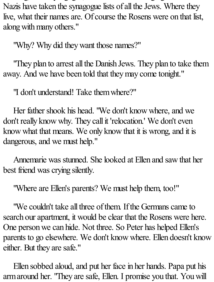morning,at thesynagogue, therabbitold hiscongregation that the Nazis have taken the synagogue lists of all the Jews. Where they live, what their names are. Of course the Rosens were on that list, along with many others."

"Why? Why did theywant those names?"

"They plan to arrest all the Danish Jews. They plan to take them away. And we have been told that they may come tonight."

"I don't understand! Take them where?"

Her father shook his head. "We don't know where, and we don't really know why. They call it 'relocation.' We don't even know what that means. We only know that it is wrong, and it is dangerous, and we must help."

Annemarie was stunned. She looked at Ellen and saw that her best friend was crying silently.

"Where are Ellen's parents? We must help them, too!"

"We couldn't take all three of them. If the Germans came to search our apartment, it would be clear that the Rosens were here. One person we can hide. Not three. So Peter has helped Ellen's parents to go elsewhere. We don't know where. Ellen doesn't know either. But they are safe."

Ellen sobbed aloud, and put her face in her hands. Papa put his armaround her. "They aresafe, Ellen. I promise you that. Youwill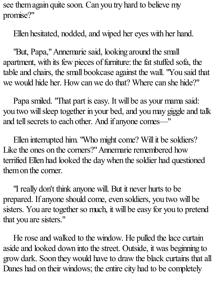see them again quite soon. Can you try hard to believe my promise?"

Ellen hesitated, nodded, and wiped her eyes with her hand.

"But, Papa," Annemarie said, looking around the small apartment, with its few pieces of furniture: the fat stuffed sofa, the table and chairs, the small bookcase against the wall. "You said that we would hide her. How can we do that? Where can she hide?"

Papa smiled. "That part is easy. It will be as your mama said: you two will sleep together in your bed, and you may giggle and talk and tell secrets to each other. And if anyone comes—"

Ellen interrupted him. "Who might come? Will it be soldiers? Like the ones on the corners?" Annemarie remembered how terrified Ellen had looked the daywhen thesoldier had questioned them on the corner.

"I really don't think anyone will. But it never hurts to be prepared. If anyone should come, even soldiers, you two will be sisters. You are together so much, it will be easy for you to pretend that you are sisters."

He rose and walked to the window. He pulled the lace curtain aside and looked down into the street. Outside, it was beginning to grow dark. Soon they would have to draw the black curtains that all Danes had on their windows; the entire city had to be completely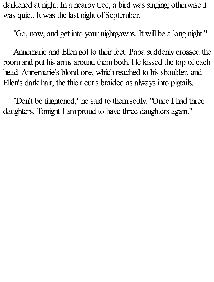darkened at night. In a nearby tree, a bird was singing; otherwise it was quiet. It was the last night of September.

"Go, now, and get into your nightgowns. It will be a long night."

Annemarie and Ellen got to their feet. Papa suddenly crossed the room and put his arms around them both. He kissed the top of each head: Annemarie's blond one, which reached to his shoulder, and Ellen's dark hair, the thick curls braided as always into pigtails.

"Don't be frightened," he said to them softly. "Once I had three daughters. Tonight I am proud to have three daughters again."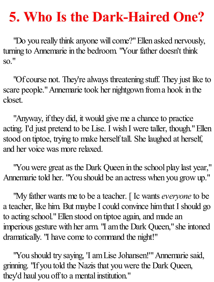## **5. Who Is the Dark-Haired One?**

"Do you really think anyone will come?" Ellen asked nervously, turning to Annemarie in the bedroom. "Your father doesn't think so."

"Of course not. They're always threatening stuff. They just like to scare people." Annemarie took her nightgown from a hook in the closet.

"Anyway, if they did, it would give me a chance to practice" acting. I'd just pretend to be Lise. I wish I were taller, though." Ellen stood on tiptoe, trying to make herself tall. She laughed at herself, and her voice was more relaxed.

"You were great as the Dark Queen in the school play last year," Annemarie told her. "You should be an actress when you grow up."

"My father wants me to be a teacher. [Ic wants *everyone* to be a teacher, like him. But maybe I could convince him that I should go to acting school." Ellen stood on tiptoe again, and made an imperious gesture with her arm. "I am the Dark Queen," she intoned dramatically. "I have come to command the night!"

"You should try saying, 'I am Lise Johansen!"" Annemarie said, grinning. "If you told the Nazis that you were the Dark Queen, they'd haul you off to a mental institution."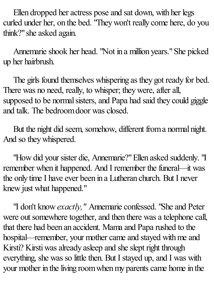Ellen dropped her actress pose and sat down, with her legs curled under her, on the bed. "Theywon't really come here, do you think?" she asked again.

Annemarieshook her head. "Not in a million years."She picked up her hairbrush.

The girls found themselves whispering as they got ready for bed. There was no need, really, to whisper; they were, after all, supposed to be normal sisters, and Papa had said they could giggle and talk. The bedroom door was closed.

But the night did seem, somehow, different froma normal night. And so they whispered.

"Howdid your sister die, Annemarie?"Ellen asked suddenly. "I remember when it happened. And I remember the funeral—it was the only time I have ever been in a Lutheran church. But I never knew just what happened."

"I don't know exactly," Annemarie confessed. "She and Peter were out somewhere together, and then there was a telephone call, that there had been an accident. Mama and Papa rushed to the hospital—remember, your mother came and stayed with me and Kirsti? Kirsti was already asleep and she slept right through everything, she was so little then. But I stayed up, and I was with your mother in the living room when my parents came home in the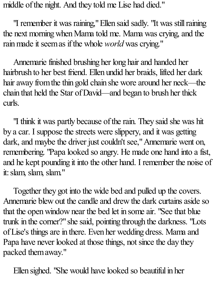middle ofthe night. And they told me Lise had died."

"I remember it was raining,"Ellen said sadly. "It was stillraining the next morning when Mama told me. Mama was crying, and the rain made it seem as if the whole *world* was crying."

Annemarie finished brushing her long hair and handed her hairbrush to her best friend. Ellen undid her braids, lifted her dark hair away from the thin gold chain she wore around her neck—the chain that held the Star of David—and began to brush her thick curls.

"I think it was partly because oftherain. They said she was hit by a car. I suppose the streets were slippery, and it was getting dark, and maybe the driver just couldn't see," Annemarie went on, remembering. "Papa looked so angry. He made one hand into a fist, and he kept pounding it into the other hand. I remember the noise of it:slam, slam, slam."

Together they got into the wide bed and pulled up the covers. Annemarie blew out the candle and drew the dark curtains aside so that the open window near the bed let in some air. "See that blue trunk in the corner?" she said, pointing through the darkness. "Lots of Lise's things are in there. Even her wedding dress. Mama and Papa have never looked at those things, not since the day they packed themaway."

Ellen sighed. "She would have looked so beautiful in her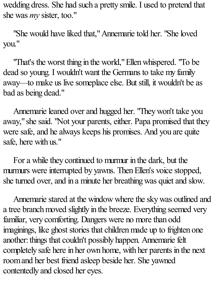wedding dress. She had such a pretty smile. I used to pretend that she was *my*sister, too."

"She would have liked that," Annemarie told her. "She loved you."

"That's the worst thing in the world,"Ellenwhispered. "To be dead so young. I wouldn't want the Germans to take my family away—to make us live someplace else. But still, it wouldn't be as bad as being dead."

Annemarie leaned over and hugged her. "They won't take you away," she said. "Not your parents, either. Papa promised that they were safe, and he always keeps his promises. And you are quite safe, here with us."

For a while they continued to murmur in the dark, but the murmurs were interrupted by yawns. Then Ellen's voice stopped, she turned over, and in a minute her breathing was quiet and slow.

Annemarie stared at the window where the sky was outlined and a tree branch moved slightly in the breeze. Everything seemed very familiar, very comforting. Dangers were no more than odd imaginings, like ghost stories that children made up to frighten one another: things that couldn't possibly happen. Annemarie felt completely safe here in her own home, with her parents in the next roomand her best friend asleep beside her. She yawned contentedly and closed her eyes.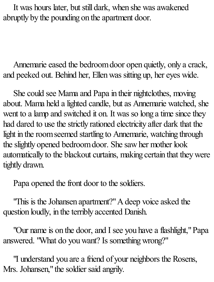It was hours later, but still dark, when she was awakened abruptly by the pounding on the apartment door.

Annemarie eased the bedroom door open quietly, only a crack, and peeked out. Behind her, Ellen was sitting up, her eyes wide.

She could see Mama and Papa in their nightclothes, moving about. Mama held a lighted candle, but as Annemarie watched, she went to a lamp and switched it on. It was so long a time since they had dared to use the strictly rationed electricity after dark that the light in the room seemed startling to Annemarie, watching through the slightly opened bedroom door. She saw her mother look automatically to the blackout curtains, making certain that they were tightly drawn.

Papa opened the front door to the soldiers.

"This is the Johansen apartment?" A deep voice asked the question loudly, in the terribly accented Danish.

"Our name is on the door, and I see you have a flashlight," Papa answered. "What do you want? Is something wrong?"

"I understand you are a friend of your neighbors the Rosens, Mrs. Johansen," the soldier said angrily.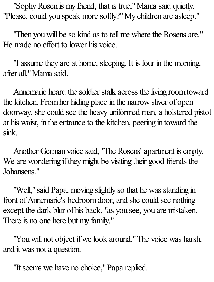"SophyRosen is my friend, that is true,"Mamasaid quietly. "Please, could you speak more softly?" My children are asleep."

"Then you will be so kind as to tell me where the Rosens are." He made no effort to lower his voice.

"Iassumethey areat home, sleeping. It is four in the morning, after all," Mama said.

Annemarie heard the soldier stalk across the living room toward the kitchen. From her hiding place in the narrow sliver of open doorway, she could see the heavy uniformed man, a holstered pistol at his waist, in the entrance to the kitchen, peering in toward the sink.

Another German voice said, "The Rosens' apartment is empty. We are wondering if they might be visiting their good friends the Johansens."

"Well,"said Papa, moving slightly so that he was standing in front of Annemarie's bedroom door, and she could see nothing except the dark blur of his back, "as you see, you are mistaken. There is no one here but my family."

"You will not object if we look around." The voice was harsh, and it was not a question.

"It seems we have no choice," Papa replied.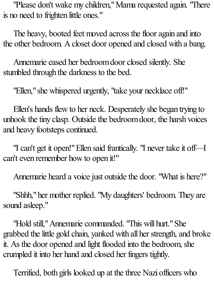"Please don't wake my children," Mama requested again. "There is no need to frighten little ones."

The heavy, booted feet moved across the floor again and into the other bedroom. Acloset door opened and closed with a bang.

Annemarie eased her bedroom door closed silently. She stumbled through the darkness to the bed.

"Ellen," she whispered urgently, "take your necklace off!"

Ellen's hands flewto her neck. Desperately she began trying to unhook the tiny clasp. Outside the bedroom door, the harsh voices and heavy footsteps continued.

"Ican't get it open!"Ellen said frantically. "I never takeit off—I can't even remember how to open it!"

Annemarie heard a voice just outside the door. "What is here?"

"Shhh," her mother replied. "My daughters' bedroom. They are sound asleep."

"Hold still," Annemarie commanded. "This will hurt." She grabbed the little gold chain, yanked with all her strength, and broke it. As the door opened and light flooded into the bedroom, she crumpled it into her hand and closed her fingers tightly.

Terrified, both girls looked up at the three Nazi officers who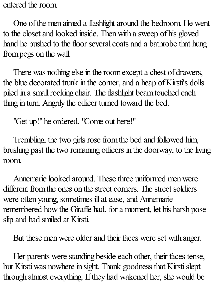entered the room.

One of the men aimed a flashlight around the bedroom. He went to the closet and looked inside. Then with a sweep of his gloved hand he pushed to the floor several coats and a bathrobe that hung frompegs on the wall.

There was nothing else in the room except a chest of drawers, the blue decorated trunk in the corner, and a heap of Kirsti's dolls piled in a small rocking chair. The flashlight beam touched each thing in turn. Angrily the officer turned toward the bed.

"Get up!"he ordered. "Come out here!"

Trembling, the two girls rose from the bed and followed him, brushing past the two remaining officers in the doorway, to the living room.

Annemarie looked around. These three uniformed men were different from the ones on the street corners. The street soldiers were often young, sometimes ill at ease, and Annemarie remembered how the Giraffe had, for a moment, let his harsh pose slip and had smiled at Kirsti.

But these men were older and their faces were set with anger.

Her parents were standing beside each other, their faces tense, but Kirsti was nowhere in sight. Thank goodness that Kirsti slept through almost everything. If they had wakened her, she would be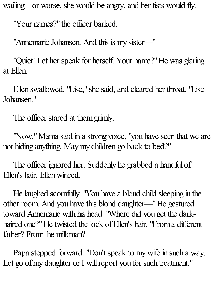wailing—or worse, she would be angry, and her fists would fly.

"Your names?"the officer barked.

"Annemarie Johansen. And this is my sister—"

"Quiet! Let her speak for herself. Your name?"He was glaring at Ellen.

Ellen swallowed. "Lise," she said, and cleared her throat. "Lise Johansen."

The officer stared at themgrimly.

"Now," Mama said in a strong voice, "you have seen that we are not hiding anything. Maymy children go back to bed?"

The officer ignored her. Suddenly he grabbed a handful of Ellen's hair. Ellenwinced.

He laughed scornfully. "You have a blond child sleeping in the other room. And you have this blond daughter—"He gestured toward Annemarie with his head. "Where did you get the darkhaired one?" He twisted the lock of Ellen's hair. "From a different father? From the milkman?

Papa stepped forward. "Don't speak to my wife in such a way. Let go of my daughter or I will report you for such treatment."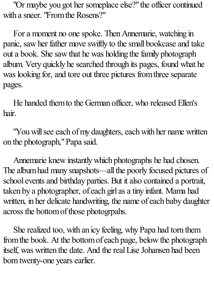"Or maybe you got her someplace else?" the officer continued with a sneer. "From the Rosens?"

For a moment no one spoke. Then Annemarie, watching in panic, saw her father move swiftly to the small bookcase and take out a book. She saw that he was holding the family photograph album. Very quickly he searched through its pages, found what he was looking for, and tore out three pictures from three separate pages.

He handed themto the German officer, who released Ellen's hair.

"You will see each of my daughters, each with her name written on the photograph,"Papasaid.

Annemarie knew instantly which photographs he had chosen. The album had many snapshots—all the poorly focused pictures of school events and birthday parties. But it also contained a portrait, taken by a photographer, of each girl as a tiny infant. Mama had written, in her delicate handwriting, the name ofeach baby daughter across the bottom of those photogrpahs.

She realized too, with an icy feeling, why Papa had torn them fromthe book. At the bottomofeach page, belowthe photograph itself, was written the date. And the real Lise Johansen had been born twenty-one years earlier.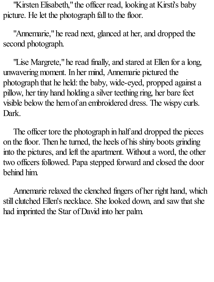"Kirsten Elisabeth," the officer read, looking at Kirsti's baby picture. He let the photograph fall to the floor.

"Annemarie," he read next, glanced at her, and dropped the second photograph.

"Lise Margrete," he read finally, and stared at Ellen for a long, unwavering moment. In her mind, Annemarie pictured the photograph that he held: the baby, wide-eyed, propped against a pillow, her tiny hand holding a silver teething ring, her bare feet visible below the hem of an embroidered dress. The wispy curls. Dark.

The officer tore the photograph in half and dropped the pieces on the floor. Then he turned, the heels of his shiny boots grinding into the pictures, and left the apartment. Without a word, the other two officers followed. Papa stepped forward and closed the door behind him.

Annemarie relaxed the clenched fingers of her right hand, which still clutched Ellen's necklace. She looked down, and saw that she had imprinted the Star ofDavid into her palm.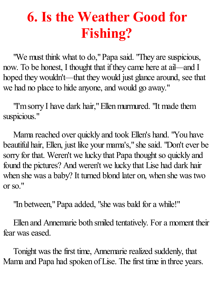## **6. Is the Weather Good for Fishing?**

"We must think what to do," Papa said. "They are suspicious, now. To be honest, I thought that if they came here at ail—and I hoped they wouldn't—that they would just glance around, see that we had no place to hide anyone, and would go away."

"I'm sorry I have dark hair," Ellen murmured. "It made them suspicious."

Mama reached over quickly and took Ellen's hand. "You have beautiful hair, Ellen, just like your mama's," she said. "Don't ever be sorry for that. Weren't we lucky that Papa thought so quickly and found the pictures? And weren't we lucky that Lise had dark hair when she was a baby? It turned blond later on, when she was two or so."

"In between," Papa added, "she was bald for a while!"

Ellen and Annemarie both smiled tentatively. For a moment their fear was eased

Tonight was the first time, Annemarie realized suddenly, that Mama and Papa had spoken of Lise. The first time in three years.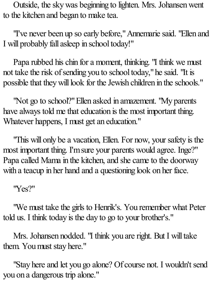Outside, the sky was beginning to lighten. Mrs. Johansen went to the kitchen and began to make tea.

"I've never been up so early before,"Annemariesaid. "Ellen and I will probably fall asleep in school today!"

Papa rubbed his chin for a moment, thinking. "I think we must not take the risk of sending you to school today," he said. "It is possible that they will look for the Jewish children in the schools."

"Not go to school?"Ellen asked in amazement. "My parents have always told me that education is the most important thing. Whatever happens, I must get an education."

"This will only be a vacation, Ellen. For now, your safety is the most important thing. I'msure your parents would agree. Inge?" Papa called Mama in the kitchen, and she came to the doorway with a teacup in her hand and a questioning look on her face.

"Yes?"

"We must take the girls to Henrik's. You remember what Peter told us. I think today is the day to go to your brother's."

Mrs. Johansen nodded. "I think you are right. But I will take them. You must stay here."

"Stay here and let you go alone? Of course not. I wouldn't send you on a dangerous trip alone."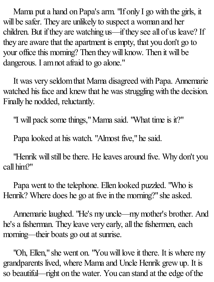Mama put a hand on Papa's arm. "If only I go with the girls, it will be safer. They are unlikely to suspect a woman and her children. But if they are watching us—if they see all of us leave? If they are aware that the apartment is empty, that you don't go to your office this morning? Then they will know. Then it will be dangerous. I am not afraid to go alone."

It was very seldomthat Mama disagreed with Papa. Annemarie watched his face and knew that he was struggling with the decision. Finally he nodded, reluctantly.

"I will pack some things," Mama said. "What time is it?"

Papa looked at his watch. "Almost five," he said.

"Henrik will still be there. He leaves around five. Why don't you call him?"

Papa went to the telephone. Ellen looked puzzled. "Who is Henrik? Where does he go at five in the morning?" she asked.

Annemarie laughed. "He's my uncle—my mother's brother. And he's a fisherman. They leave very early, all the fishermen, each morning—their boats go out at sunrise.

"Oh, Ellen," she went on. "You will love it there. It is where my grandparents lived, where Mamaand Uncle Henrik grewup. It is so beautiful—right on the water. You can stand at the edge of the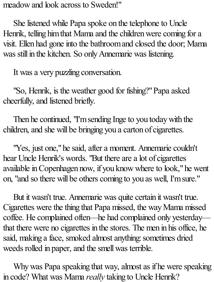meadowand look across to Sweden!"

She listened while Papa spoke on the telephone to Uncle Henrik, telling him that Mama and the children were coming for a visit. Ellen had gone into the bathroom and closed the door; Mama was still in the kitchen. So only Annemarie was listening.

It was a very puzzling conversation.

"So, Henrik, is the weather good for fishing?" Papa asked cheerfully, and listened briefly.

Then he continued. "I'm sending Inge to you today with the children, and she will be bringing you a carton of cigarettes.

"Yes, just one," he said, after a moment. Annemarie couldn't hear Uncle Henrik's words. "But there are a lot of cigarettes available in Copenhagen now, if you know where to look," he went on, "and so there will be otherscoming to you as well, I'msure."

But it wasn't true. Annemarie was quite certain it wasn't true. Cigarettes were the thing that Papa missed, the way Mama missed coffee. He complained often—he had complained only yesterday that there were no cigarettes in the stores. The men in his office, he said, making a face, smoked almost anything: sometimes dried weeds rolled in paper, and the smell was terrible.

Why was Papa speaking that way, almost as if he were speaking in code? What was Mama*really*taking to Uncle Henrik?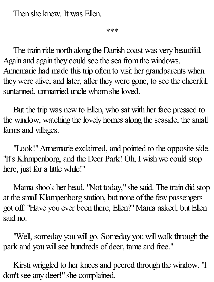Then she knew. It was Ellen.

\*\*\*

The train ride north along the Danish coast was very beautiful. Again and again they could see the sea from the windows. Annemarie had made this trip often to visit her grandparents when they were alive, and later, after they were gone, to sec the cheerful, suntanned, unmarried uncle whom she loved.

But the trip was new to Ellen, who sat with her face pressed to the window, watching the lovely homes along the seaside, the small farms and villages.

"Look!" Annemarie exclaimed, and pointed to the opposite side. "It's Klampenborg,and the Deer Park! Oh, I wishwecould stop here, just for a little while!"

Mama shook her head. "Not today," she said. The train did stop at the small Klampenborg station, but none of the few passengers got off. "Have you ever been there, Ellen?" Mama asked, but Ellen said no.

"Well, someday you will go. Someday you will walk through the park and you will see hundreds of deer, tame and free."

Kirsti wriggled to her knees and peered through the window. "I don't see any deer!" she complained.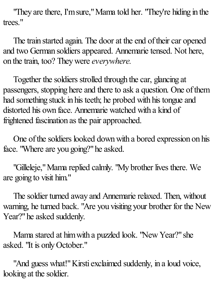"They are there, I'm sure," Mama told her. "They're hiding in the trees."

The train started again. The door at the end of their car opened and two German soldiers appeared. Annemarie tensed. Not here, on the train, too? They were *everywhere*.

Together the soldiers strolled through the car, glancing at passengers, stopping here and there to ask a question. One of them had something stuck in his teeth; he probed with his tongue and distorted his own face. Annemarie watched with a kind of frightened fascination as the pair approached.

One of the soldiers looked down with a bored expression on his face. "Where are you going?" he asked.

"Gilleleie," Mama replied calmly. "My brother lives there. We are going to visit him."

The soldier turned away and Annemarie relaxed. Then, without warning, he turned back. "Are you visiting your brother for the New Year?" he asked suddenly.

Mama stared at him with a puzzled look. "New Year?" she asked. "It is onlyOctober."

"And guess what!" Kirsti exclaimed suddenly, in a loud voice, looking at the soldier.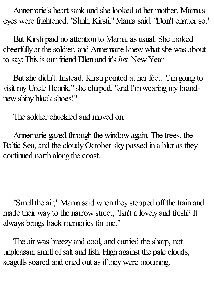Annemarie's heart sank and she looked at her mother. Mama's eyes were frightened. "Shhh, Kirsti," Mama said. "Don't chatter so."

But Kirsti paid no attention to Mama, as usual. She looked cheerfully at the soldier, and Annemarie knew what she was about to say:This is our friend Ellen and it's *her* NewYear!

But she didn't. Instead, Kirsti pointed at her feet. "I'm going to visitmyUncle Henrik,"shechirped, "and I'mwearingmy brandnewshiny black shoes!"

The soldier chuckled and moved on.

Annemarie gazed through the window again. The trees, the Baltic Sea, and the cloudy October sky passed in a blur as they continued north along the coast.

"Smell the air," Mama said when they stepped off the train and made their way to the narrow street, "Isn't it lovely and fresh? It always brings back memories for me."

The air was breezy and cool, and carried the sharp, not unpleasant smell of salt and fish. High against the pale clouds, seagulls soared and cried out as if they were mourning.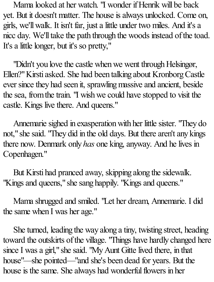Mamalooked at her watch. "I wonder ifHenrik will be back yet. But it doesn't matter. The house is always unlocked. Come on, girls, we'll walk. It isn't far, just a little under two miles. And it's a nicc day. We'll take the path through the woods instead of the toad. It's a little longer, but it's so pretty,"

"Didn't you love the castle when we went through Helsingør, Ellen?"Kirstiasked. She had been talking about KronborgCastle ever since they had seen it, sprawling massive and ancient, beside the sea, from the train. "I wish we could have stopped to visit the castle. Kings live there. And queens."

Annemarie sighed in exasperation with her little sister. "They do not," she said. "They did in the old days. But there aren't any kings there now. Denmark only *has* one king, anyway. And he lives in Copenhagen."

But Kirsti had pranced away, skipping along the sidewalk. "Kings and queens," she sang happily. "Kings and queens."

Mamashrugged and smiled. "Let her dream, Annemarie. I did the same when I was her age."

She turned, leading the way along a tiny, twisting street, heading toward the outskirts of the village. "Things have hardly changed here since I was a girl," she said. "My Aunt Gitte lived there, in that house"—she pointed—"and she's been dead for years. But the house is the same. She always had wonderful flowers in her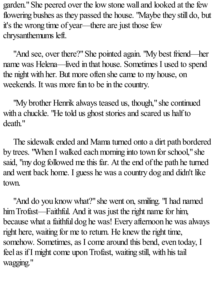garden." She peered over the low stone wall and looked at the few flowering bushes as they passed the house. "Maybe they still do, but it's the wrong time of year—there are just those few chrysanthemums left.

"And see, over there?" She pointed again. "My best friend—her name was Helena—lived in that house. Sometimes I used to spend the night with her. But more often she came to my house, on weekends. It was more fun to be in the country.

"My brother Henrik always teased us, though,"shecontinued with a chuckle. "He told us ghost stories and scared us half to death."

The sidewalk ended and Mama turned onto a dirt path bordered by trees. "When I walked each morning into town for school," she said, "my dog followed me this far. At the end of the path he turned and went back home. I guess he was a country dog and didn't like town.

"And do you know what?" she went on, smiling. "I had named him Trofast—Faithful. And it was just the right name for him, because what a faithful dog he was! Every afternoon he was always right here, waiting for me to return. He knew the right time, somehow. Sometimes, as I come around this bend, even today, I feel as if I might come upon Trofast, waiting still, with his tail wagging."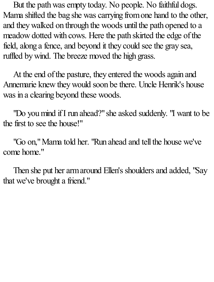But the path was empty today. No people. No faithful dogs. Mama shifted the bag she was carrying from one hand to the other, and they walked on through the woods until the path opened to a meadow dotted with cows. Here the path skirted the edge of the field, along a fence, and beyond it they could see the gray sea, ruffled bywind. The breeze moved the high grass.

At the end of the pasture, they entered the woods again and Annemarie knew they would soon be there. Uncle Henrik's house was in a clearing beyond these woods.

"Do youmind ifI run ahead?"sheasked suddenly. "I want to be the first to see the house!"

"Go on," Mama told her. "Run ahead and tell the house we've come home."

Then she put her arm around Ellen's shoulders and added, "Say that we've brought a friend."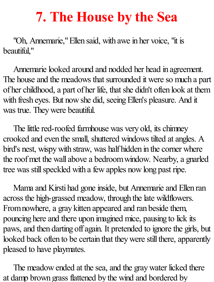### **7. The House by the Sea**

"Oh, Annemarie,"Ellen said, with awein her voice, "it is beautiful,"

Annemarie looked around and nodded her head in agreement. The house and the meadows that surrounded it were so much a part of her childhood, a part of her life, that she didn't often look at them with fresh eyes. But now she did, seeing Ellen's pleasure. And it was true. Theywere beautiful.

The little red-roofed farmhouse was very old, its chimney crooked and even the small, shuttered windows tilted at angles. A bird's nest, wispy with straw, was half hidden in the corner where the roof met the wall above a bedroom window. Nearby, a gnarled tree was still speckled with a few apples now long past ripe.

Mama and Kirsti had gone inside, but Annemarie and Ellen ran across the high-grassed meadow, through the late wildflowers. From nowhere, a gray kitten appeared and ran beside them, pouncing here and there upon imagined mice, pausing to lick its paws, and then darting off again. It pretended to ignore the girls, but looked back often to be certain that they were still there, apparently pleased to have playmates.

The meadow ended at the sea, and the gray water licked there at damp brown grass flattened by the wind and bordered by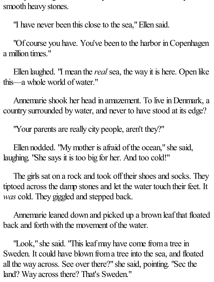at damp brown grass flattened by the wind and bordered by smooth heavy stones.

"I have never been thiscloseto thesea,"Ellen said.

"Ofcourse you have. You've been to the harbor inCopenhagen a million times."

Ellen laughed. "I mean the*real*sea, the way it is here. Open like this—a whole world ofwater."

Annemarie shook her head in amazement. To live in Denmark, a country surrounded by water, and never to have stood at its edge?

"Your parents are really city people, aren't they?"

Ellen nodded. "My mother is afraid of the ocean," she said, laughing. "She says it is too big for her. And too cold!"

The girls sat on a rock and took off their shoes and socks. They tiptoed across the damp stones and let the water touch their feet. It was cold. They giggled and stepped back.

Annemarie leaned down and picked up a brown leaf that floated back and forth with the movement of the water.

"Look," she said. "This leaf may have come from a tree in Sweden. It could have blown from a tree into the sea, and floated all the way across. See over there?" she said, pointing. "Sec the land? Way across there? That's Sweden."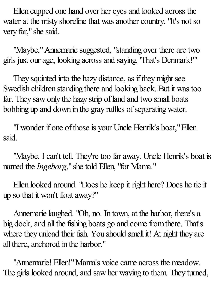Ellen cupped one hand over her eyes and looked across the water at the misty shoreline that was another country. "It's not so very far," she said.

"Maybe," Annemarie suggested, "standing over there are two girls just ourage, looking acrossand saying, 'That's Denmark!'"

They squinted into the hazy distance, as if they might see Swedish children standing there and looking back. But it was too far. They saw only the hazy strip of land and two small boats bobbing up and down in the gray ruffles of separating water.

"I wonder if one of those is your Uncle Henrik's boat," Ellen said.

"Maybe. I can't tell. They're too far away. Uncle Henrik's boat is named the*Ingeborg*,"shetold Ellen, "for Mama."

Ellen looked around. "Does he keep it right here? Does he tie it up so that it won't floataway?"

Annemarie laughed. "Oh, no. In town, at the harbor, there's a big dock, and all the fishing boats go and come from there. That's where they unload their fish. You should smell it! At night they are all there, anchored in the harbor."

"Annemarie! Ellen!" Mama's voice came across the meadow. The girls looked around, and saw her waving to them. They turned,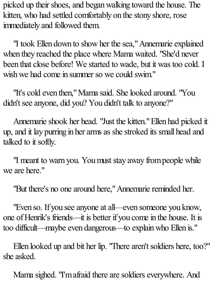picked up their shoes, and began walking toward the house. The kitten, who had settled comfortably on the stony shore, rose immediately and followed them.

"I took Ellen down to show her the sea," Annemarie explained when they reached the place where Mama waited. "She'd never been that close before! We started to wade, but it was too cold. I wish we had come in summer so we could swim."

"It's cold even then," Mama said. She looked around. "You didn't see anyone, did you? You didn't talk to anyone?"

Annemarie shook her head. "Just the kitten." Ellen had picked it up, and it lay purring in her arms as she stroked its small head and talked to it softly.

"I meant to warn you. Youmuststay away frompeople while weare here."

"But there's no one around here," Annemarie reminded her.

"Even so. If you see anyone at all—even someone you know, one ofHenrik's friends—it is better if you comein the house. It is too difficult—maybe even dangerous—to explain who Ellen is."

Ellen looked up and bit her lip. "There aren't soldiers here, too?" sheasked.

Mama sighed. "I'm afraid there are soldiers everywhere. And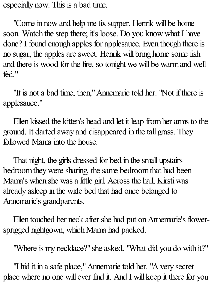especially now. This is a bad time.

"Come in now and help me fix supper. Henrik will be home soon. Watch the step there; it's loose. Do you know what I have done? I found enough apples for applesauce. Even though there is no sugar, the apples are sweet. Henrik will bring home some fish and there is wood for the fire, so tonight we will be warm and well fed."

"It is not a bad time, then," Annemarie told her. "Not if there is applesauce."

Ellen kissed the kitten's head and let it leap fromherarms to the ground. It darted away and disappeared in thetall grass. They followed Mamainto the house.

That night, the girls dressed for bed in the small upstairs bedroom they were sharing, the same bedroom that had been Mama's when she was a little girl. Across the hall, Kirsti was already asleep in the wide bed that had once belonged to Annemarie's grandparents.

Ellen touched her neck after she had put on Annemarie's flowersprigged nightgown, which Mama had packed.

"Where is my necklace?" she asked. "What did you do with it?"

"I hid it in asafe place,"Annemarietold her. "Avery secret place where no one will ever find it. And I will keep it there for you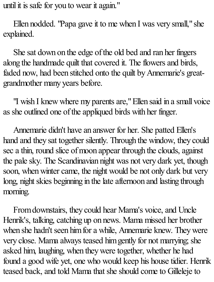until it is safe for you to wear it again."

Ellen nodded. "Papa gave it to me when I was very small," she explained.

She sat down on the edge of the old bed and ran her fingers along the handmade quilt that covered it. The flowers and birds, faded now, had been stitched onto the quilt by Annemarie's greatgrandmother many years before.

"I wish I knew where my parents are," Ellen said in a small voice as she outlined one of the appliqued birds with her finger.

Annemarie didn't have an answer for her. She patted Ellen's hand and they sat together silently. Through the window, they could sec a thin, round slice of moon appear through the clouds, against the palesky. The Scandinavian night was not very dark yet, though soon, when winter came, the night would be not only dark but very long, night skies beginning in the late afternoon and lasting through morning.

From downstairs, they could hear Mama's voice, and Uncle Henrik's, talking, catching up on news. Mama missed her brother when she hadn't seen him for a while, Annemarie knew. They were very close. Mama always teased him gently for not marrying; she asked him, laughing, when they were together, whether he had found a good wife yet, one who would keep his house tidier. Henrik teased back, and told Mama that she should come to Gilleleje to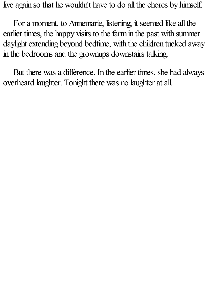live again so that he wouldn't have to do all the chores by himself.

For a moment, to Annemarie, listening, it seemed like all the earlier times, the happy visits to the farm in the past with summer daylight extending beyond bedtime, with the children tucked away in the bedrooms and the grownups downstairs talking.

But there was a difference. In the earlier times, she had always overheard laughter. Tonight there was no laughter at all.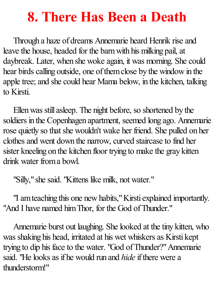### **8. There Has Been a Death**

Through a haze of dreams Annemarie heard Henrik rise and leave the house, headed for the barn with his milking pail, at daybreak. Later, when she woke again, it was morning. She could hear birds calling outside, one of them close by the window in the apple tree; and she could hear Mama below, in the kitchen, talking to Kirsti.

Ellen was still asleep. The night before, so shortened by the soldiers in the Copenhagen apartment, seemed long ago. Annemarie rose quietly so that she wouldn't wake her friend. She pulled on her clothes and went down the narrow, curved staircase to find her sister kneeling on the kitchen floor trying to make the gray kitten drink water froma bowl.

"Silly," she said. "Kittens like milk, not water."

"Iamteaching this one newhabits,"Kirstiexplained importantly. "And I have named him Thor, for the God of Thunder."

Annemarie burst out laughing. She looked at the tiny kitten, who was shaking his head, irritated at his wet whiskers as Kirsti kept trying to dip his face to the water. "God of Thunder?" Annemarie said. "He looks as if he would run and *hide* if there were a thunderstorm!"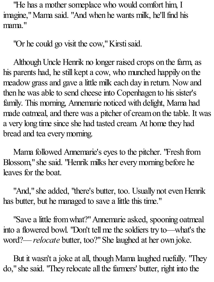"He has a mother someplace who would comfort him, I imagine," Mama said. "And when he wants milk, he'll find his mama."

"Or hecould go visit thecow,"Kirstisaid.

Although Uncle Henrik no longer raised crops on the farm, as his parents had, he still kept a cow, who munched happily on the meadow grass and gave a little milk each day in return. Now and then he was able to send cheese into Copenhagen to his sister's family. This morning, Annemarie noticed with delight, Mama had made oatmeal, and there was a pitcher of cream on the table. It was a very long time since she had tasted cream. At home they had bread and tea every morning.

Mama followed Annemarie's eyes to the pitcher. "Fresh from Blossom," she said. "Henrik milks her every morning before he leaves for the boat.

"And," she added, "there's butter, too. Usually not even Henrik has butter, but he managed to save a little this time."

"Save a little from what?" Annemarie asked, spooning oatmeal into a flowered bowl. "Don't tell me the soldiers try to—what's the word?— *relocate* butter, too?" She laughed at her own joke.

But it wasn't a joke at all, though Mama laughed ruefully. "They do," she said. "They relocate all the farmers' butter, right into the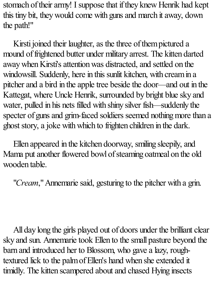stomach of their army! I suppose that if they knew Henrik had kept this tiny bit, they would come with guns and march it away, down the path!"

Kirsti joined their laughter, as the three of them pictured a mound offrightened butter under military arrest. The kitten darted away when Kirsti's attention was distracted, and settled on the windowsill. Suddenly, here in this sunlit kitchen, with cream in a pitcher and a bird in the apple tree beside the door—and out in the Kattegat, where Uncle Henrik, surrounded by bright blue sky and water, pulled in his nets filled with shiny silver fish—suddenly the specter of guns and grim-faced soldiers seemed nothing more than a ghost story, a joke with which to frighten children in the dark.

Ellen appeared in the kitchen doorway, smiling sleepily, and Mama put another flowered bowl of steaming oatmeal on the old wooden table.

"*Cream*,"Annemariesaid, gesturing to the pitcher with a grin.

All day long the girls played out of doors under the brilliant clear sky and sun. Annemarie took Ellen to the small pasture beyond the barn and introduced her to Blossom, who gave a lazy, roughtextured lick to the palm of Ellen's hand when she extended it timidly. The kitten scampered about and chased Hying insects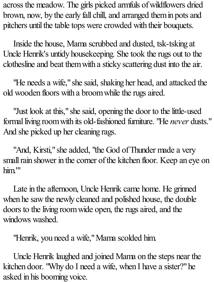across the meadow. The girls picked armfuls of wildflowers dried brown, now, by the early fall chill, and arranged them in pots and pitchers until the table tops were crowded with their bouquets.

Inside the house, Mama scrubbed and dusted, tsk-tsking at Uncle Henrik's untidy housekeeping. Shetook therugs out to the clothesline and beat them with a sticky scattering dust into the air.

"He needs a wife," she said, shaking her head, and attacked the old wooden floors with a broom while the rugs aired.

"Just look at this," she said, opening the door to the little-used formal living room with its old-fashioned furniture. "He *never* dusts." And she picked up her cleaning rags.

"And, Kirsti," she added, "the God of Thunder made a very small rain shower in the corner of the kitchen floor. Keep an eye on him.'"

Late in the afternoon, Uncle Henrik came home. He grinned when he saw the newly cleaned and polished house, the double doors to the living room wide open, the rugs aired, and the windows washed.

"Henrik, you need a wife," Mama scolded him.

Uncle Henrik laughed and joined Mama on the steps near the kitchen door. "Why do I need a wife, when I have a sister?" he asked in his booming voice.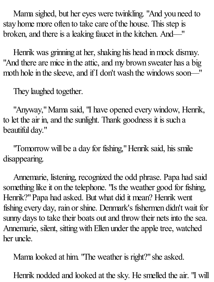Mama sighed, but her eyes were twinkling. "And you need to stay home more often to take care of the house. This step is broken, and there is a leaking faucet in the kitchen. And—"

Henrik was grinning at her, shaking his head in mock dismay. "And there are mice in the attic, and my brown sweater has a big moth hole in the sleeve, and if I don't wash the windows soon—"

They laughed together.

"Anyway," Mama said, "I have opened every window, Henrik, to let the air in, and the sunlight. Thank goodness it is such a beautiful day."

"Tomorrowwill bea day for fishing,"Henrik said, his smile disappearing.

Annemarie, listening, recognized the odd phrase. Papa had said something like it on the telephone. "Is the weather good for fishing, Henrik?" Papa had asked. But what did it mean? Henrik went fishing every day, rain or shine. Denmark's fishermen didn't wait for sunny days to take their boats out and throw their nets into the sea. Annemarie, silent, sitting with Ellen under the apple tree, watched her uncle.

Mama looked at him. "The weather is right?" she asked.

Henrik nodded and looked at the sky. He smelled the air. "I will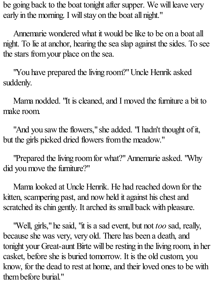be going back to the boat tonight after supper. We will leave very early in the morning. I will stay on the boat all night."

Annemarie wondered what it would be like to be on a boat all night. To lie at anchor, hearing the sea slap against the sides. To see the stars from your place on the sea.

"You have prepared the living room?" Uncle Henrik asked suddenly.

Mama nodded. "It is cleaned, and I moved the furniture a bit to make room.

"And you saw the flowers," she added. "I hadn't thought of it, but the girls picked dried flowers fromthe meadow."

"Prepared the living room for what?" Annemarie asked. "Why" did you move the furniture?"

Mamalooked at Uncle Henrik. He had reached down for the kitten, scampering past, and now held it against his chest and scratched its chin gently. It arched its small back with pleasure.

"Well, girls," he said, "it is a sad event, but not *too* sad, really, because she was very, very old. There has been a death, and tonight your Great-aunt Birte will be resting in the living room, in her casket, before she is buried tomorrow. It is the old custom, you know, for the dead to rest at home, and their loved ones to be with thembefore burial."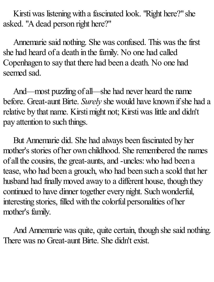Kirsti was listening with a fascinated look. "Right here?" she asked. "Adead person right here?"

Annemarie said nothing. She was confused. This was the first she had heard of a death in the family. No one had called Copenhagen to say that there had been a death. No one had seemed sad.

And—most puzzling of all—she had never heard the name before. Great-aunt Birte. *Surely*she would have known ifshe had a relative by that name. Kirsti might not: Kirsti was little and didn't pay attention to such things.

But Annemarie did. She had always been fascinated by her mother's stories of her own childhood. She remembered the names of all the cousins, the great-aunts, and -uncles: who had been a tease, who had been a grouch, who had been such a scold that her husband had finally moved away to a different house, though they continued to have dinner together every night. Such wonderful, interesting stories, filled with the colorful personalities of her mother's family.

And Annemarie was quite, quite certain, though she said nothing. There was no Great-aunt Birte. She didn't exist.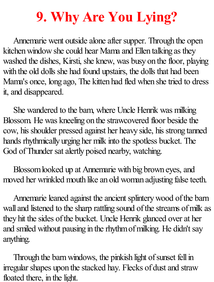# **9. Why Are You Lying?**

Annemarie went outside alone after supper. Through the open kitchen window she could hear Mama and Ellen talking as they washed the dishes, Kirsti, she knew, was busy on the floor, playing with the old dolls she had found upstairs, the dolls that had been Mama's once, long ago, The kitten had fled when she tried to dress it, and disappeared.

She wandered to the bam, where Uncle Henrik was milking Blossom. He was kneeling on the strawcovered floor beside the cow, his shoulder pressed against her heavy side, his strong tanned hands rhythmically urging her milk into the spotless bucket. The God of Thunder sat alertly poised nearby, watching.

Blossom looked up at Annemarie with big brown eyes, and moved her wrinkled mouth like an old woman adjusting false teeth.

Annemarie leaned against the ancient splintery wood of the barn wall and listened to the sharp rattling sound of the streams of milk as they hit the sides of the bucket. Uncle Henrik glanced over at her and smiled without pausing in the rhythm of milking. He didn't say anything.

Through the barn windows, the pinkish light of sunset fell in irregular shapes upon the stacked hay. Flecks of dust and straw floated there, in the light.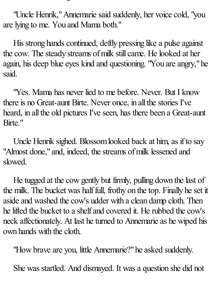#### floated there, in thelight.

"Uncle Henrik," Annemarie said suddenly, her voice cold, "you are lying to me. You and Mama both."

His strong hands continued, deftly pressing like a pulse against the cow. The steady streams of milk still came. He looked at her again, his deep blue eyes kind and questioning. "You are angry," he said.

"Yes. Mama has never lied to me before. Never. But I know there is no Great-aunt Birte. Never once, in all the stories I've heard, in all the old pictures I've seen, has there been a Great-aunt Birte."

Uncle Henrik sighed. Blossom looked back at him, as if to say "Almost done," and, indeed, the streams of milk lessened and slowed.

He tugged at the cow gently but firmly, pulling down the last of the milk. The bucket was half full, frothy on the top. Finally he set it aside and washed the cow's udder with a clean damp cloth. Then he lifted the bucket to a shelf and covered it. He rubbed the cow's neck affectionately. At last he turned to Annemarie as he wiped his own hands with thecloth.

"How brave are you, little Annemarie?" he asked suddenly.

She was startled. And dismayed. It was a question she did not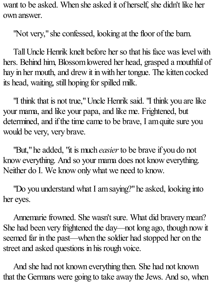want to be asked. When she asked it of herself, she didn't like her own answer.

"Not very," she confessed, looking at the floor of the barn.

TallUncle Henrik knelt before her so that his face was levelwith hers. Behind him, Blossom lowered her head, grasped a mouthful of hay in her mouth, and drew it in with her tongue. The kitten cocked its head, waiting, still hoping for spilled milk.

"I think that is not true,"Uncle Henrik said. "I think you arelike your mama, and like your papa, and like me. Frightened, but determined, and if the time came to be brave, I am quite sure you would be very, very brave.

"But," he added, "it is much *easier* to be brave if you do not knoweverything. And so your mama does not knoweverything. Neither do I. We knowonlywhat we need to know.

"Do you understand what I am saying?" he asked, looking into her eyes.

Annemarie frowned. She wasn't sure. What did bravery mean? She had been very frightened the day—not long ago, though nowit seemed far in the past—when the soldier had stopped her on the street and asked questions in his rough voice.

And she had not known everything then. She had not known that the Germans were going to take away the Jews. And so, when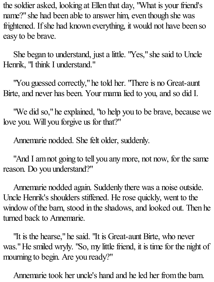the soldier asked, looking at Ellen that day, "What is your friend's name?" she had been able to answer him, even though she was frightened. Ifshe had known everything, it would not have been so easy to be brave.

She began to understand, just a little. "Yes," she said to Uncle Henrik, "I think I understand."

"You guessed correctly," he told her. "There is no Great-aunt Birte, and never has been. Your mama lied to you, and so did I.

"We did so." he explained, "to help you to be brave, because we love you. Will you forgive us for that?"

Annemarie nodded. She felt older, suddenly.

"And I am not going to tell you any more, not now, for the same reason. Do you understand?"

Annemarie nodded again. Suddenly there was a noise outside. Uncle Henrik's shoulders stiffened. Herose quickly, went to the window of the barn, stood in the shadows, and looked out. Then he turned back to Annemarie.

"It is the hearse,"hesaid. "It is Great-aunt Birte, who never was." He smiled wryly. "So, my little friend, it is time for the night of mourning to begin. Are you ready?"

Annemarie took her uncle's hand and he led her from the barn.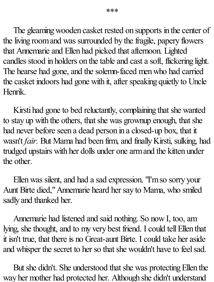The gleaming wooden casket rested on supports in the center of the living room and was surrounded by the fragile, papery flowers that Annemarie and Ellen had picked that afternoon. Lighted candles stood in holders on the table and cast a soft, flickering light. The hearse had gone, and the solemn-faced men who had carried the casket indoors had gone with it, after speaking quietly to Uncle Henrik.

Kirsti had gone to bed reluctantly, complaining that she wanted to stay up with the others, that she was grownup enough, that she had never before seen a dead person in a closed-up box, that it wasn't *fair*. But Mama had been firm, and finally Kirsti, sulking, had trudged upstairs with her dolls under onearmand the kitten under the other.

Ellen was silent, and had a sad expression. "I'm so sorry your Aunt Birte died,"Annemarie heard her say to Mama, who smiled sadly and thanked her.

Annemarie had listened and said nothing. So nowI, too,am lying, she thought, and to my very best friend. I could tell Ellen that it isn't true, that there is no Great-aunt Birte. I could take her aside and whisper the secret to her so that she wouldn't have to feel sad.

But she didn't. She understood that she was protecting Ellen the way her mother had protected her. Although she didn't understand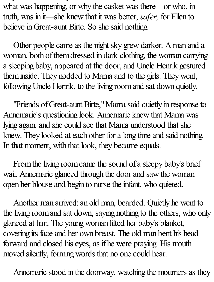way here. Although she didn't understand here. Although she didn't understand her. Although she didn't understand what was happening, or why the casket was there—or who, in truth, was in it—she knewthat it was better, *safer,* for Ellen to believe in Great-aunt Birte. So she said nothing.

Other people came as the night sky grew darker. A man and a woman, both of them dressed in dark clothing, the woman carrying a sleeping baby, appeared at the door, and Uncle Henrik gestured them inside. They nodded to Mama and to the girls. They went, following Uncle Henrik, to the living room and sat down quietly.

"Friends of Great-aunt Birte," Mama said quietly in response to Annemarie's questioning look. Annemarie knewthat Mama was lying again, and she could see that Mama understood that she knew. They looked at each other for a long time and said nothing. In that moment, with that look, they became equals.

From the living room came the sound of a sleepy baby's brief wail. Annemarie glanced through the doorand sawthe woman open her blouse and begin to nurse the infant, who quieted.

Another man arrived: an old man, bearded. Quietly he went to the living room and sat down, saying nothing to the others, who only glanced at him. The youngwoman lifted her baby's blanket, covering its face and her own breast. The old man bent his head forward and closed his eyes, as if he were praying. His mouth moved silently, forming words that no one could hear.

Annemarie stood in the doorway, watching the mourners as they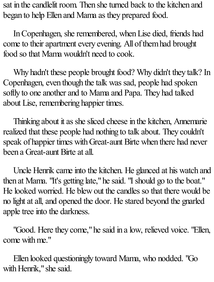sat in the candlelit room. Then she turned back to the kitchen and began to help Ellen and Mama as they prepared food.

In Copenhagen, she remembered, when Lise died, friends had come to their apartment every evening. All of them had brought food so that Mama wouldn't need to cook.

Why hadn't these people brought food? Why didn't they talk? In Copenhagen, even though the talk was sad, people had spoken softly to one another and to Mama and Papa. They had talked about Lise, remembering happier times.

Thinking about it as she sliced cheese in the kitchen, Annemarie realized that these people had nothing to talk about. They couldn't speak of happier times withGreat-aunt Birte when there had never been a Great-aunt Birte at all.

Uncle Henrik cameinto the kitchen. He glanced at his watch and then at Mama. "It's getting late,"hesaid. "I should go to the boat." He looked worried. He blew out the candles so that there would be no light at all, and opened the door. He stared beyond the gnarled apple tree into the darkness.

"Good. Here they come," he said in a low, relieved voice. "Ellen, come with me."

Ellen looked questioningly toward Mama, who nodded. "Go with Henrik," she said.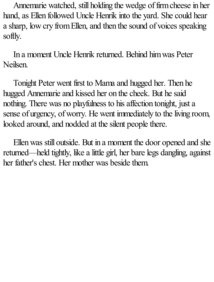Annemarie watched, still holding the wedge of firm cheese in her hand, as Ellen followed Uncle Henrik into the yard. She could hear a sharp, low cry from Ellen, and then the sound of voices speaking softly.

In a moment Uncle Henrik returned. Behind himwas Peter Neilsen.

Tonight Peter went first to Mamaand hugged her. Then he hugged Annemarie and kissed her on the cheek. But he said nothing. There was no playfulness to his affection tonight, just a sense of urgency, of worry. He went immediately to the living room, looked around, and nodded at the silent people there.

Ellenwas still outside. But in a moment the door opened and she returned—held tightly, like a little girl, her bare legs dangling, against her father's chest. Her mother was beside them.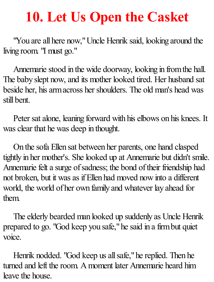# **10. Let Us Open the Casket**

"You are all here now," Uncle Henrik said, looking around the living room. "I must go."

Annemarie stood in the wide doorway, looking in from the hall. The baby slept now, and its mother looked tired. Her husband sat beside her, his arm across her shoulders. The old man's head was still bent.

Peter sat alone, leaning forward with his elbows on his knees. It was clear that he was deep in thought.

On the sofa Ellen sat between her parents, one hand clasped tightly in her mother's. She looked up at Annemarie but didn't smile. Annemarie felt a surge of sadness; the bond of their friendship had not broken, but it was as if Ellen had moved now into a different world, the world of her own family and whatever lay ahead for them.

The elderly bearded man looked up suddenly as Uncle Henrik prepared to go. "God keep you safe,"hesaid in afirmbut quiet voice.

Henrik nodded. "God keep us all safe," he replied. Then he turned and left the room. A moment later Annemarie heard him leave the house.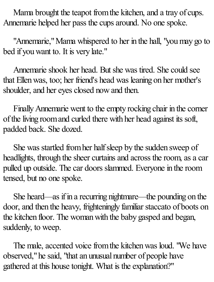Mama brought the teapot from the kitchen, and a tray of cups. Annemarie helped her pass the cups around. No one spoke.

"Annemarie,"Mama whispered to her in the hall, "youmay go to bed if youwant to. It is very late."

Annemarieshook her head. Butshe was tired. Shecould see that Ellenwas, too; her friend's head was leaning on her mother's shoulder, and her eyes closed now and then.

Finally Annemarie went to the empty rocking chair in the corner of the living room and curled there with her head against its soft, padded back. She dozed.

She was startled from her half sleep by the sudden sweep of headlights, through the sheer curtains and across the room, as a car pulled up outside. The car doors slammed. Everyone in the room tensed, but no one spoke.

She heard—as if in a recurring nightmare—the pounding on the door, and then the heavy, frighteningly familiar staccato of boots on the kitchen floor. The womanwith the baby gasped and began, suddenly, to weep.

The male, accented voice from the kitchen was loud. "We have observed,"hesaid, "thatan unusual number of people have gathered at this house tonight. What is the explanation?"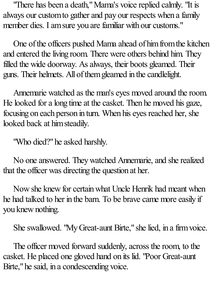"There has been a death," Mama's voice replied calmly. "It is always our custom to gather and pay our respects when a family member dies. I am sure you are familiar with our customs."

One of the officers pushed Mama ahead of him from the kitchen and entered the living room. There were others behind him. They filled the wide doorway. As always, their boots gleamed. Their guns. Their helmets. All of them gleamed in the candlelight.

Annemarie watched as the man's eyes moved around the room. He looked for a long time at the casket. Then he moved his gaze, focusing on each person in turn. When his eyes reached her, she looked back at himsteadily.

"Who died?" he asked harshly.

No one answered. They watched Annemarie, and she realized that the officer was directing the question at her.

Now she knew for certain what Uncle Henrik had meant when he had talked to her in the barn. To be brave came more easily if you knewnothing.

She swallowed. "My Great-aunt Birte," she lied, in a firm voice.

The officer moved forward suddenly, across the room, to the casket. He placed one gloved hand on its lid. "Poor Great-aunt Birte," he said, in a condescending voice.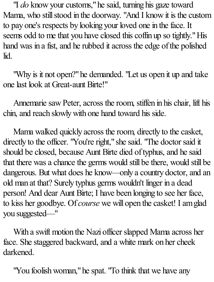"I *do* know your customs," he said, turning his gaze toward Mama, who still stood in the doorway. "And I know it is the custom to pay one's respects by looking your loved one in the face. It seems odd to me that you have closed this coffin up so tightly." His hand was in a fist, and he rubbed it across the edge of the polished lid.

"Why is it not open?" he demanded. "Let us open it up and take onelast look at Great-aunt Birte!"

Annemarie saw Peter, across the room, stiffen in his chair, lift his chin, and reach slowly with one hand toward his side.

Mama walked quickly across the room, directly to the casket, directly to the officer. "You're right," she said. "The doctor said it should be closed, because Aunt Birte died of typhus, and he said that there was a chance the germs would still be there, would still be dangerous. But what does he know—only a country doctor, and an old man at that? Surely typhus germs wouldn't linger in a dead person! And dear Aunt Birte; I have been longing to see her face, to kiss her goodbye. Of*course* we will open thecasket! Iamglad you suggested—"

With a swift motion the Nazi officer slapped Mama across her face. She staggered backward, and a white mark on her cheek darkened.

"You foolish woman," he spat. "To think that we have any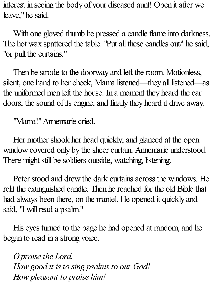interest in seeing the body of your diseased aunt! Open itafter we leave," he said.

With one gloved thumb he pressed a candle flame into darkness. The hot wax spattered the table. "Put all these candles out/' he said, "or pull the curtains."

Then he strode to the doorway and left the room. Motionless, silent, one hand to her cheek, Mama listened—they all listened—as the uniformed men left the house. In a moment they heard the car doors, the sound of its engine, and finally they heard it drive away.

"Mama!" Annemarie cried

Her mother shook her head quickly, and glanced at the open window covered only by the sheer curtain. Annemarie understood. There might still be soldiers outside, watching, listening.

Peter stood and drew the dark curtains across the windows. He relit the extinguished candle. Then he reached for the old Bible that had always been there, on the mantel. He opened it quickly and said, "I will read a psalm."

His eyes turned to the page he had opened at random, and he began to read in a strong voice.

*Opraisethe Lord. How good it is to sing psalms to our God! How pleasant to praise him!*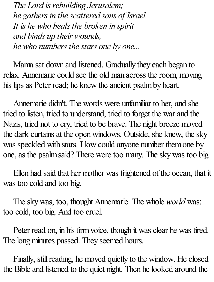*The Lord is rebuilding Jerusalem; he* gathers in the scattered sons of Israel. *It is he who heals the broken in spirit and binds up their wounds, he who numbers thestars one by one...*

Mamasat down and listened. Gradually they each began to relax. Annemarie could see the old man across the room, moving his lips as Peter read; he knew the ancient psalm by heart.

Annemarie didn't. The words were unfamiliar to her, and she tried to listen, tried to understand, tried to forget the warand the Nazis, tried not to cry, tried to be brave. The night breeze moved the dark curtains at the open windows. Outside, she knew, the sky was speckled with stars. I lowcould anyone number themone by one, as the psalm said? There were too many. The sky was too big.

Ellen had said that her mother was frightened of the ocean, that it was too cold and too big.

The sky was, too, thought Annemarie. The whole *world* was: too cold, too big. And too cruel.

Peter read on, in his firm voice, though it was clear he was tired. The long minutes passed. They seemed hours.

Finally, still reading, he moved quietly to the window. He closed the Bible and listened to the quiet night. Then he looked around the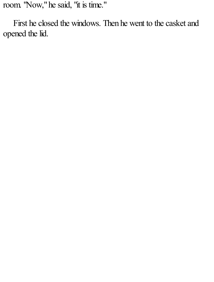room. "Now," he said, "it is time."

First he closed the windows. Then he went to the casket and opened the lid.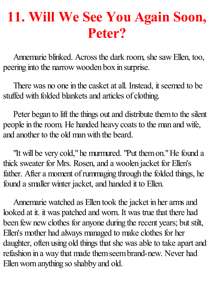## **11. Will We See You Again Soon, Peter?**

Annemarie blinked. Across the dark room, shesawEllen, too, peering into the narrowwooden box in surprise.

There was no one in the casket at all. Instead, it seemed to be stuffed with folded blankets and articles of clothing.

Peter began to lift the things out and distribute them to the silent people in the room. He handed heavy coats to the man and wife, and another to the old manwith the beard.

"It will be very cold," he murmured. "Put them on." He found a thick sweater for Mrs. Rosen, and a woolen jacket for Ellen's father. After a moment of rummaging through the folded things, he found a smaller winter jacket, and handed it to Ellen.

Annemarie watched as Ellen took the jacket in her arms and looked at it. it was patched and worn. It was true that there had been few new clothes for anyone during the recent years; but stilt, Ellen's mother had always managed to makeclothes for her daughter, often using old things that she was able to take apart and refashion in a way that made them seem brand-new. Never had Ellenworn anything so shabby and old.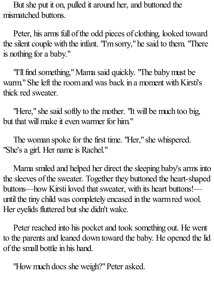But she put it on, pulled it around her, and buttoned the mismatched buttons.

Peter, his arms full of the odd pieces of clothing, looked toward the silent couple with the infant. "I'm sorry," he said to them. "There is nothing for a baby."

"I'llfind something,"Mamasaid quickly. "The babymust be warm." She left the room and was back in a moment with Kirsti's thick red sweater.

"Here," she said softly to the mother. "It will be much too big, but that will make it even warmer for him."

The woman spoke for the first time. "Her," she whispered. "She's a girl. Her name is Rachel."

Mama smiled and helped her direct the sleeping baby's arms into the sleeves of the sweater. Together they buttoned the heart-shaped buttons—how Kirsti loved that sweater, with its heart buttons! until the tiny child was completely encased in the warm red wool. Her eyelids fluttered but she didn't wake.

Peter reached into his pocket and took something out. He went to the parents and leaned down toward the baby. He opened the lid ofthesmall bottlein his hand.

"How much docs she weigh?" Peter asked.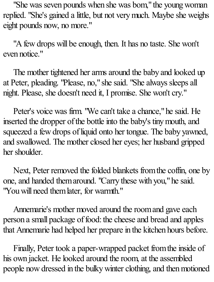"She was seven pounds when she was bom," the young woman replied. "She's gained a little, but not very much. Maybe she weighs eight pounds now, no more."

"A few drops will be enough, then. It has no taste. She won't even notice."

The mother tightened her arms around the baby and looked up at Peter, pleading. "Please, no," she said. "She always sleeps all night. Please, she doesn't need it, I promise. She won't cry."

Peter's voice was firm. "We can't take a chance," he said. He inserted the dropper of the bottle into the baby's tiny mouth, and squeezed a few drops of liquid onto her tongue. The baby yawned, and swallowed. The mother closed her eyes; her husband gripped her shoulder.

Next, Peter removed the folded blankets from the coffin, one by one, and handed them around. "Carry these with you," he said. "Youwill need themlater, for warmth."

Annemarie's mother moved around the room and gave each person a small package of food: the cheese and bread and apples that Annemarie had helped her prepare in the kitchen hours before.

Finally, Peter took a paper-wrapped packet from the inside of his own jacket. He looked around the room, at the assembled people now dressed in the bulky winter clothing, and then motioned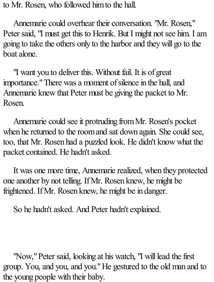to Mr. Rosen, who followed himto the hall.

Annemarie could overhear their conversation. "Mr. Rosen." Peter said, "I must get this to Henrik. But I might not see him. I am going to take the others only to the harbor and they will go to the boatalone.

"I want you to deliver this. Without fail. It is of great importance." There was a moment of silence in the hall, and Annemarie knewthat Peter must be giving the packet to Mr. Rosen.

Annemarie could see it protruding from Mr. Rosen's pocket when he returned to the room and sat down again. She could see, too, that Mr. Rosen had a puzzled look. He didn't knowwhat the packet contained. He hadn't asked.

It was one more time, Annemarie realized, when they protected oneanother by not telling. IfMr. Rosen knew, he might be frightened. If Mr. Rosen knew, he might be in danger.

So he hadn't asked. And Peter hadn't explained.

"Now," Peter said, looking at his watch, "I will lead the first group. You,and you,and you."He gestured to the old man and to the young people with their baby.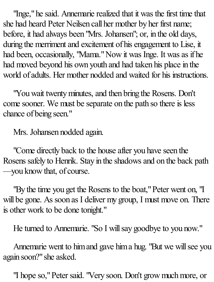"Inge," he said. Annemarie realized that it was the first time that she had heard Peter Neilsen call her mother by her first name; before, it had always been "Mrs. Johansen"; or, in the old days, during the merriment and excitement of his engagement to Lise, it had been, occasionally, "Mama." Now it was Inge. It was as if he had moved beyond his own youth and had taken his place in the world of adults. Her mother nodded and waited for his instructions.

"Youwait twentyminutes,and then bring the Rosens. Don't come sooner. We must be separate on the path so there is less chance of being seen."

Mrs. Johansen nodded again.

"Come directly back to the house after you have seen the Rosens safely to Henrik. Stay in the shadows and on the back path —you knowthat, ofcourse.

"By the time you get the Rosens to the boat," Peter went on, "I will be gone. As soon as I deliver my group, I must move on. There is other work to be done tonight."

He turned to Annemarie. "So I will say goodbye to you now."

Annemarie went to him and gave him a hug. "But we will see you again soon?" she asked.

"I hope so," Peter said. "Very soon. Don't grow much more, or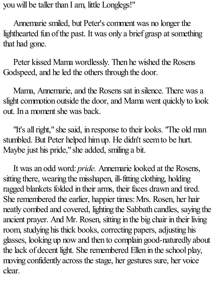you will be taller than I am, little Longlegs!"

Annemarie smiled, but Peter's comment was no longer the lighthearted fun of the past. It was only a brief grasp at something that had gone.

Peter kissed Mama wordlessly. Then he wished the Rosens Godspeed, and he led the others through the door.

Mama, Annemarie, and the Rosens sat in silence. There was a slight commotion outside the door, and Mama went quickly to look out. In a moment she was back.

"It's all right," she said, in response to their looks. "The old man stumbled. But Peter helped him up. He didn't seem to be hurt. Maybe just his pride," she added, smiling a bit.

It was an odd word: *pride*. Annemarie looked at the Rosens, sitting there, wearing the misshapen, ill-fitting clothing, holding ragged blankets folded in their arms, their faces drawn and tired. She remembered the earlier, happier times: Mrs. Rosen, her hair neatly combed and covered, lighting the Sabbath candles, saying the ancient prayer. And Mr. Rosen, sitting in the big chair in their living room, studying his thick books, correcting papers, adjusting his glasses, looking up nowand then to complain good-naturedly about the lack of decent light. She remembered Ellen in the school play, moving confidently across the stage, her gestures sure, her voice clear.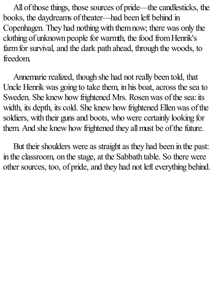All of those things, those sources of pride—the candlesticks, the books, the daydreams of theater—had been left behind in Copenhagen. They had nothing with them now; there was only the clothing of unknown people for warmth, the food from Henrik's farm for survival, and the dark path ahead, through the woods, to freedom.

Annemarie realized, though she had not really been told, that Uncle Henrik was going to take them, in his boat, across the sea to Sweden. She knew how frightened Mrs. Rosen was of the sea: its width, its depth, its cold. She knew how frightened Ellen was of the soldiers, with their guns and boots, who were certainly looking for them. And she knew how frightened they all must be of the future.

But their shoulders were as straight as they had been in the past: in the classroom, on the stage, at the Sabbath table. So there were other sources, too, of pride, and they had not left everything behind.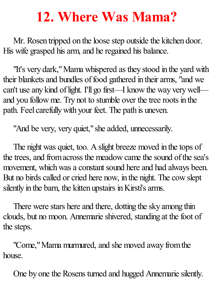### **12. Where Was Mama?**

Mr. Rosen tripped on the loose step outside the kitchen door. His wife grasped his arm, and he regained his balance.

"It's very dark,"Mama whispered as they stood in the yard with their blankets and bundles of food gathered in their arms, "and we can't use any kind of light. I'll go first—I know the way very well and you follow me. Try not to stumble over the tree roots in the path. Feel carefully with your feet. The path is uneven.

"And be very, very quiet," she added, unnecessarily.

The night was quiet, too. A slight breeze moved in the tops of the trees, and from across the meadow came the sound of the sea's movement, which was a constant sound here and had always been. But no birds called or cried here now, in the night. The cow slept silently in the barn, the kitten upstairs in Kirsti's arms.

There were stars here and there, dotting the sky among thin clouds, but no moon. Annemarie shivered, standing at the foot of the steps.

"Come," Mama murmured, and she moved away from the house.

One by one the Rosens turned and hugged Annemarie silently.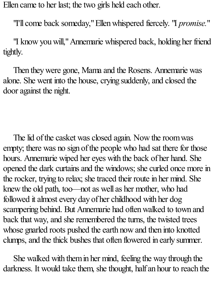Ellen came to her last; the two girls held each other.

"I'llcome back someday,"Ellenwhispered fiercely. "I *promise.*"

"I knowyouwill,"Annemarie whispered back, holding her friend tightly.

Then they were gone, Mama and the Rosens. Annemarie was alone. She went into the house, crying suddenly, and closed the dooragainst the night.

The lid of the casket was closed again. Now the room was empty; there was no sign of the people who had sat there for those hours. Annemarie wiped her eyes with the back of her hand. She opened the dark curtains and the windows; she curled once more in the rocker, trying to relax; she traced their route in her mind. She knew the old path, too—not as well as her mother, who had followed it almost every day of her childhood with her dog scampering behind. But Annemarie had often walked to town and back that way, and she remembered the turns, the twisted trees whose gnarled roots pushed the earth now and then into knotted clumps, and the thick bushes that often flowered in early summer.

She walked with themin her mind, feeling the way through the darkness. It would take them, she thought, half an hour to reach the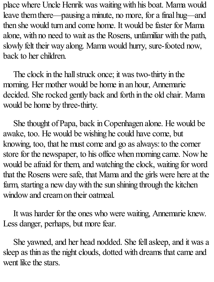place where Uncle Henrik was waitingwith his boat. Mama would leave them there—pausing a minute, no more, for a final hug—and then she would turn and come home. It would be faster for Mama alone, with no need to waitas the Rosens, unfamiliar with the path, slowly felt their way along. Mama would hurry, sure-footed now, back to herchildren.

The clock in the hall struck once; it was two-thirty in the morning. Her mother would be home in an hour, Annemarie decided. She rocked gently back and forth in the old chair. Mama would be home by three-thirty.

She thought of Papa, back in Copenhagen alone. He would be awake, too. He would be wishing he could have come, but knowing, too, that he must come and go as always: to the corner store for the newspaper, to his office when morning came. Now he would be afraid for them, and watching the clock, waiting for word that the Rosens were safe, that Mama and the girls were here at the farm, starting a new day with the sun shining through the kitchen windowand creamon their oatmeal.

It was harder for the ones who were waiting, Annemarie knew. Less danger, perhaps, but more fear.

She yawned, and her head nodded. She fell asleep, and it was a sleep as thin as the night clouds, dotted with dreams that came and went like the stars.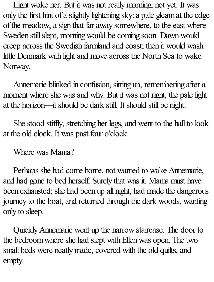Light woke her. But it was not reallymorning, not yet. It was only the first hint of a slightly lightening sky: a pale gleam at the edge of the meadow, a sign that far away somewhere, to the east where Sweden still slept, morning would be coming soon. Dawn would creep across the Swedish farmland and coast; then it would wash little Denmark with light and move across the North Sea to wake Norway.

Annemarie blinked in confusion, sitting up, remembering aftera moment where she was and why. But it was not right, the pale light at the horizon—it should be dark still. It should still be night.

She stood stiffly, stretching her legs, and went to the hall to look at the old clock. It was past four o'clock.

Where was Mama?

Perhaps she had come home, not wanted to wake Annemarie, and had gone to bed herself. Surely that was it. Mama must have been exhausted; she had been up all night, had made the dangerous journey to the boat, and returned through the dark woods, wanting only to sleep.

QuicklyAnnemarie went up the narrowstaircase. The door to the bedroom where she had slept with Ellen was open. The two small beds were neatly made, covered with the old quilts, and empty.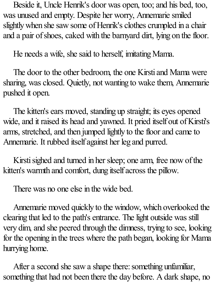Beside it, Uncle Henrik's door was open, too; and his bed, too, was unused and empty. Despite her worry, Annemarie smiled slightly when she saw some of Henrik's clothes crumpled in a chair and a pair of shoes, caked with the barnyard dirt, lying on the floor.

He needs a wife, she said to herself, imitating Mama.

The door to the other bedroom, the one Kirstiand Mama were sharing, was closed. Quietly, not wanting to wake them, Annemarie pushed it open.

The kitten's ears moved, standing up straight; its eyes opened wide, and it raised its head and yawned. It pried itself out of Kirsti's arms, stretched, and then jumped lightly to the floor and came to Annemarie. It rubbed itselfagainst her leg and purred.

Kirsti sighed and turned in her sleep; one arm, free now of the kitten's warmth and comfort, dung itselfacross the pillow.

There was no one else in the wide bed.

Annemarie moved quickly to the window, which overlooked the clearing that led to the path's entrance. The light outside was still very dim,and she peered through the dimness, trying to see, looking for the opening in the trees where the path began, looking for Mama hurrying home.

After a second she saw a shape there: something unfamiliar, something that had not been there the day before. A dark shape, no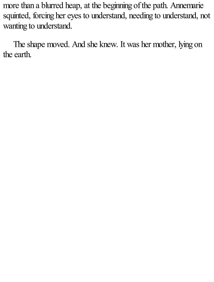more than a blurred heap, at the beginning of the path. Annemarie squinted, forcing her eyes to understand, needing to understand, not wanting to understand.

The shape moved. And she knew. It was her mother, lying on the earth.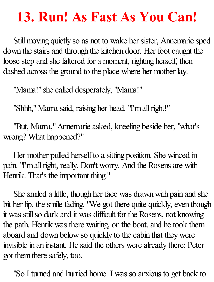## **13. Run! As Fast As You Can!**

Still moving quietly so as not to wake her sister, Annemarie sped down the stairs and through the kitchen door. Her foot caught the loose step and she faltered for a moment, righting herself, then dashed across the ground to the place where her mother lay.

"Mama!" she called desperately, "Mama!"

"Shhh," Mama said, raising her head. "I'm all right!"

"But, Mama,"Annemarieasked, kneeling beside her, "what's wrong? What happened?"

Her mother pulled herselfto asitting position. She winced in pain. "I'm all right, really. Don't worry. And the Rosens are with Henrik. That's the important thing."

She smiled a little, though her face was drawn with pain and she bit her lip, the smile fading. "We got there quite quickly, even though it was stillso dark and it was difficult for the Rosens, not knowing the path. Henrik was there waiting, on the boat, and he took them aboard and down below so quickly to the cabin that they were invisible in an instant. He said the others were already there; Peter got themtheresafely, too.

"So I turned and hurried home. I was so anxious to get back to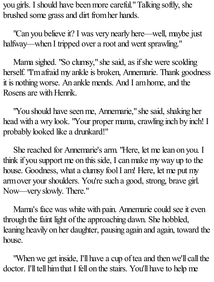you girls. I should have been more careful." Talking softly, she brushed some grassand dirt fromher hands.

"Can you believe it? I was very nearly here—well, maybe just halfway—when I tripped over a root and went sprawling."

Mama sighed. "So clumsy," she said, as if she were scolding herself. "I'm afraid my ankle is broken, Annemarie. Thank goodness it is nothing worse. An ankle mends. And I am home, and the Rosens are with Henrik.

"You should have seen me, Annemarie," she said, shaking her head with a wry look. "Your proper mama, crawling inch by inch! I probably looked like a drunkard!"

She reached for Annemarie's arm. "Here, let me lean on you. I think if you support me on this side, I can make my way up to the house. Goodness, what a clumsy fool I am! Here, let me put my arm over your shoulders. You're such a good, strong, brave girl. Now—very slowly. There."

Mama's face was white with pain. Annemarie could see it even through the faint light of the approaching dawn. She hobbled, leaning heavily on her daughter, pausing again and again, toward the house.

"When we get inside, I'll have a cup of tea and then we'll call the doctor. I'll tell him that I fell on the stairs. You'll have to help me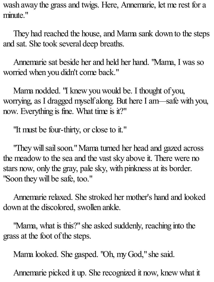wash away the grass and twigs. Here, Annemarie, let me rest for a minute."

They had reached the house, and Mama sank down to the steps and sat. She took several deep breaths.

Annemarie sat beside her and held her hand. "Mama, I was so worried when you didn't come back."

Mama nodded. "I knewyouwould be. I thought of you, worrying, as I dragged myself along. But here I am—safe with you, now. Everything is fine. What time is it?"

"It must be four-thirty, or close to it."

"Theywillsailsoon."Mamaturned her head and gazed across the meadow to the sea and the vast sky above it. There were no stars now, only the gray, pale sky, with pinkness at its border. "Soon they will be safe, too."

Annemarie relaxed. She stroked her mother's hand and looked down at the discolored, swollen ankle.

"Mama, what is this?" she asked suddenly, reaching into the grass at the foot of the steps.

Mama looked. She gasped. "Oh, my God," she said.

Annemarie picked it up. Sherecognized it now, knewwhat it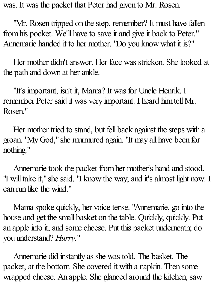was. It was the packet that Peter had given to Mr. Rosen.

"Mr. Rosen tripped on the step, remember? It must have fallen from his pocket. We'll have to save it and give it back to Peter." Annemarie handed it to her mother. "Do you know what it is?"

Her mother didn't answer. Her face was stricken. She looked at the path and down at her ankle.

"It's important, isn't it, Mama? It was for Uncle Henrik. I remember Peter said it was very important. I heard him tell Mr. Rosen."

Her mother tried to stand, but fell back against the steps with a groan. "MyGod,"she murmured again. "Itmay all have been for nothing."

Annemarie took the packet from her mother's hand and stood. "I will take it," she said. "I know the way, and it's almost light now. I can run like the wind."

Mama spoke quickly, her voice tense. "Annemarie, go into the house and get the small basket on the table. Quickly, quickly. Put an apple into it, and some cheese. Put this packet underneath; do you understand? *Hurry.*"

Annemarie did instantly as she was told. The basket. The packet, at the bottom. She covered it with a napkin. Then some wrapped cheese. An apple. She glanced around the kitchen, saw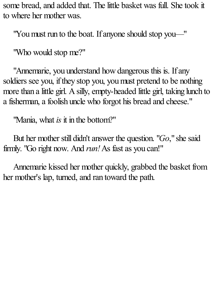some bread, and added that. The little basket was full. She took it to where her mother was.

"Youmust run to the boat. Ifanyoneshould stop you—"

"Who would stop me?"

"Annemarie, you understand how dangerous this is. If any soldiers see you, if they stop you, you must pretend to be nothing more than a little girl. A silly, empty-headed little girl, taking lunch to a fisherman, a foolish uncle who forgot his bread and cheese."

"Mania, what *is* it in the bottom?"

But her mother still didn't answer the question. "*Go*," she said firmly. "Go right now. And *run!* As fast as you can!"

Annemarie kissed her mother quickly, grabbed the basket from her mother's lap, turned, and ran toward the path.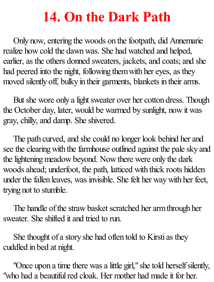### **14. On the Dark Path**

Only now, entering the woods on the footpath, did Annemarie realize howcold the dawnwas. She had watched and helped, earlier, as the others donned sweaters, jackets, and coats; and she had peered into the night, following them with her eyes, as they moved silently off, bulky in their garments, blankets in their arms.

But she wore only a light sweater over her cotton dress. Though the October day, later, would be warmed by sunlight, nowit was gray, chilly, and damp. She shivered.

The path curved, and she could no longer look behind her and see the clearing with the farmhouse outlined against the pale sky and the lightening meadow beyond. Now there were only the dark woodsahead; underfoot, the path, latticed with thick roots hidden under the fallen leaves, was invisible. She felt her way with her feet, trying not to stumble.

The handle of the straw basket scratched her arm through her sweater. She shifted it and tried to run.

She thought of a story she had often told to Kirsti as they cuddled in bed at night.

"Once upon a time there was a little girl," she told herself silently, "who had a beautiful red cloak. Her mother had made it for her.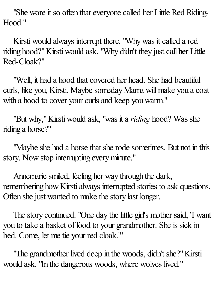"She wore it so often that everyone called her Little Red Riding-Hood."

Kirsti would always interrupt there. "Why was it called a red riding hood?" Kirsti would ask. "Why didn't they just call her Little Red-Cloak?"

"Well, it had a hood that covered her head. She had beautiful curls, like you, Kirsti. Maybe someday Mama will make you a coat with a hood to cover your curls and keep you warm."

"But why,"Kirstiwould ask, "was ita*riding* hood? Was she riding a horse?"

"Maybe she had a horse that she rode sometimes. But not in this story. Nowstop interrupting everyminute."

Annemarie smiled, feeling her way through the dark, remembering how Kirsti always interrupted stories to ask questions. Often she just wanted to make the story last longer.

The story continued. "One day the little girl's mother said. 'I want you to take a basket of food to your grandmother. She is sick in bed. Come, let me tie your red cloak."

"The grandmother lived deep in the woods, didn't she?" Kirsti would ask. "In the dangerous woods, where wolves lived."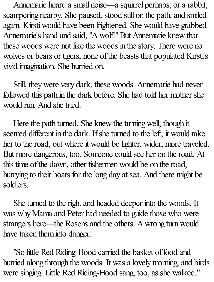Annemarie heard a small noise—a squirrel perhaps, or a rabbit, scampering nearby. She paused, stood still on the path, and smiled again. Kirstiwould have been frightened. She would have grabbed Annemarie's hand and said, "A wolf!" But Annemarie knew that these woods were not like the woods in the story. There were no wolves or bears or tigers, none of the beasts that populated Kirsti's vivid imagination. She hurried on.

Still, theywere very dark, these woods. Annemarie had never followed this path in the dark before. She had told her mother she would run. And she tried.

Here the path turned. She knew the turning well, though it seemed different in the dark. If she turned to the left, it would take her to the road, out where it would be lighter, wider, more traveled. But more dangerous, too. Someone could see her on the road. At this time of the dawn, other fishermen would be on the road, hurrying to their boats for the long day at sea. And there might be soldiers.

She turned to the right and headed deeper into the woods. It was why Mama and Peter had needed to guide those who were strangers here—the Rosens and the others. A wrong turn would have taken them into danger.

"So little Red Riding-Hood carried the basket of food and hurried along through the woods. It was a lovely morning, and birds were singing. Little Red Riding-Hood sang, too, as she walked."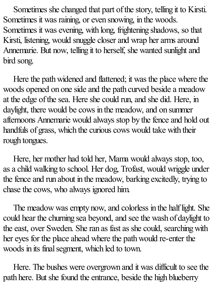Sometimes she changed that part of the story, telling it to Kirsti. Sometimes it was raining, or even snowing, in the woods. Sometimes it was evening, with long, frightening shadows, so that Kirsti, listening, would snuggle closer and wrap her arms around Annemarie. But now, telling it to herself, she wanted sunlight and bird song.

Here the path widened and flattened; it was the place where the woods opened on one side and the path curved beside a meadow at the edge of the sea. Here she could run, and she did. Here, in daylight, there would be cows in the meadow, and on summer afternoons Annemarie would always stop by the fence and hold out handfuls of grass, which the curious cows would take with their rough tongues.

Here, her mother had told her, Mama would always stop, too, asachild walking to school. Her dog, Trofast, would wriggle under the fence and run about in the meadow, barking excitedly, trying to chase the cows, who always ignored him.

The meadow was empty now, and colorless in the halflight. She could hear the churning sea beyond, and see the wash of daylight to the east, over Sweden. She ran as fast as she could, searching with her eyes for the place ahead where the path would re-enter the woods in its final segment, which led to town.

Here. The bushes were overgrown and it was difficult to seethe path here. But she found the entrance, beside the high blueberry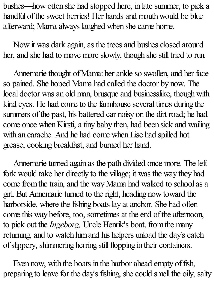bushes—how often she had stopped here, in late summer, to pick a handful of the sweet berries! Her hands and mouth would be blue afterward; Mama always laughed when she came home.

Now it was dark again, as the trees and bushes closed around her, and she had to move more slowly, though she still tried to run.

Annemarie thought of Mama: her ankle so swollen, and her face so pained. She hoped Mama had called the doctor by now. The local doctor was an old man, brusque and businesslike, though with kind eyes. He had come to the farmhouse several times during the summers of the past, his battered car noisy on the dirt road; he had come once when Kirsti, a tiny baby then, had been sick and wailing with an earache. And he had come whenLise had spilled hot grease, cooking breakfast, and burned her hand.

Annemarie turned again as the path divided once more. The left fork would take her directly to the village; it was the way they had come from the train, and the way Mama had walked to school as a girl. But Annemarie turned to the right, heading now toward the harborside, where the fishing boats lay at anchor. She had often come this way before, too, sometimes at the end of the afternoon, to pick out the*Ingeborg,* Uncle Henrik's boat, fromthe many returning, and to watch him and his helpers unload the day's catch of slippery, shimmering herring still flopping in their containers.

Even now, with the boats in the harbor ahead empty of fish, preparing to leave for the day's fishing, she could smell the oily, salty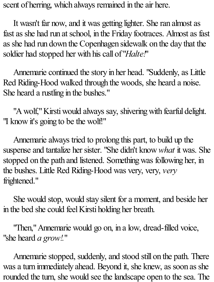scent of herring, which always remained in the air here.

It wasn't far now, and it was getting lighter. She ran almost as fast as she had run at school, in the Friday footraces. Almost as fast as she had run down the Copenhagen sidewalk on the day that the soldier had stopped her with hiscall of"*Halte!*"

Annemarie continued the story in her head. "Suddenly, as Little Red Riding-Hood walked through the woods, she heard a noise. She heard a rustling in the bushes."

"A wolf," Kirsti would always say, shivering with fearful delight. "I know it's going to be the wolf!"

Annemarie always tried to prolong this part, to build up the suspenseand tantalize her sister. "She didn't know*what* it was. She stopped on the path and listened. Something was following her, in the bushes. Little Red Riding-Hood was very, very,*very* frightened."

She would stop, would stay silent for a moment, and beside her in the bed shecould feelKirsti holding her breath.

"Then," Annemarie would go on, in a low, dread-filled voice, "she heard *a grow!.*"

Annemarie stopped, suddenly, and stood still on the path. There was a turn immediately ahead. Beyond it, she knew, as soon as she rounded the turn, she would see the landscape open to the sea. The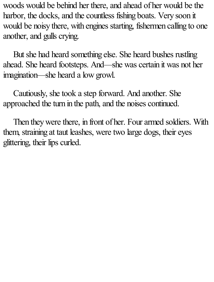woods would be behind her there, and ahead of her would be the harbor, the docks, and the countless fishing boats. Very soon it would be noisy there, with engines starting, fishermen calling to one another, and gulls crying.

But she had heard something else. She heard bushes rustling ahead. She heard footsteps. And—she was certain it was not her imagination—she heard alowgrowl.

Cautiously, she took a step forward. And another. She approached the turn in the path, and the noises continued.

Then they were there, in front of her. Four armed soldiers. With them, straining at taut leashes, were two large dogs, their eyes glittering, their lips curled.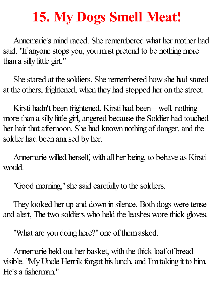# **15. My Dogs Smell Meat!**

Annemarie's mind raced. Sheremembered what her mother had said. "If anyone stops you, you must pretend to be nothing more than asilly little girt."

She stared at the soldiers. She remembered how she had stared at the others, frightened, when they had stopped her on the street.

Kirsti hadn't been frightened. Kirsti had been—well, nothing more than a silly little girl, angered because the Soldier had touched her hair that afternoon. She had known nothing of danger, and the soldier had been amused by her.

Annemarie willed herself, with all her being, to behave as Kirsti would.

"Good morning," she said carefully to the soldiers.

They looked her up and down in silence. Both dogs were tense and alert, The two soldiers who held the leashes wore thick gloves.

"What are you doing here?" one of them asked.

Annemarie held out her basket, with the thick loaf of bread visible. "MyUncle Henrik forgot his lunch,and I'mtaking it to him. He's a fisherman."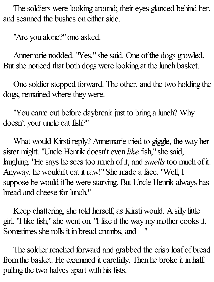The soldiers were looking around; their eyes glanced behind her, and scanned the bushes on either side.

"Are you alone?" one asked.

Annemarie nodded. "Yes," she said. One of the dogs growled. But she noticed that both dogs were looking at the lunch basket.

One soldier stepped forward. The other, and the two holding the dogs, remained where they were.

"You came out before daybreak just to bring a lunch? Why doesn't your uncle eat fish?"

What would Kirsti reply? Annemarie tried to giggle, the way her sister might. "Uncle Henrik doesn't even *like* fish," she said, laughing. "He says he sees too much of it, and *smells* too much of it. Anyway, he wouldn't eat it raw!" She made a face. "Well, I suppose he would if he were starving. But Uncle Henrik always has bread and cheese for lunch."

Keep chattering, she told herself, as Kirsti would. A silly little girl. "I like fish," she went on. "I like it the way my mother cooks it. Sometimes she rolls it in bread crumbs, and—"

The soldier reached forward and grabbed the crisp loaf of bread from the basket. He examined it carefully. Then he broke it in half, pulling the two halves apart with his fists.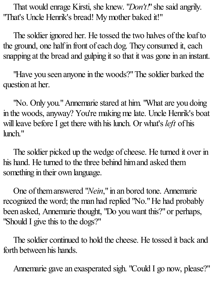That would enrage Kirsti, she knew. "*Don't!*" she said angrily. "That's Uncle Henrik's bread! Mymother baked it!"

The soldier ignored her. He tossed the two halves of the loaf to the ground, one half in front of each dog. They consumed it, each snapping at the bread and gulping it so that it was gone in an instant.

"Have you seen anyone in the woods?" The soldier barked the question at her.

"No. Only you." Annemarie stared at him. "What are you doing in the woods, anyway? You're making me late. Uncle Henrik's boat will leave before I get there with his lunch. Or what's *left* of his lunch."

The soldier picked up the wedge of cheese. He turned it over in his hand. He turned to the three behind him and asked them something in their own language.

One of them answered "*Nein*," in an bored tone. Annemarie recognized the word; the man had replied "No."He had probably been asked, Annemarie thought, "Do you want this?" or perhaps, "Should I give this to the dogs?"

The soldier continued to hold the cheese. He tossed it back and forth between his hands.

Annemarie gave an exasperated sigh. "Could I go now, please?"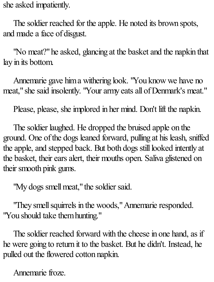she asked impatiently.

The soldier reached for the apple. He noted its brown spots, and made a face of disgust.

"No meat?" he asked, glancing at the basket and the napkin that lay in its bottom.

Annemarie gave hima withering look. "You knowwe have no meat," she said insolently. "Your army eats all of Denmark's meat."

Please, please, she implored in her mind. Don't lift the napkin.

The soldier laughed. He dropped the bruised apple on the ground. One ofthe dogs leaned forward, pulling at his leash, sniffed the apple, and stepped back. But both dogs still looked intently at the basket, their ears alert, their mouths open. Saliva glistened on their smooth pink gums.

"My dogs smell meat," the soldier said.

"They smell squirrels in the woods," Annemarie responded. "You should take them hunting."

The soldier reached forward with the cheese in one hand, as if he were going to return it to the basket. But he didn't. Instead, he pulled out the flowered cotton napkin.

Annemarie froze.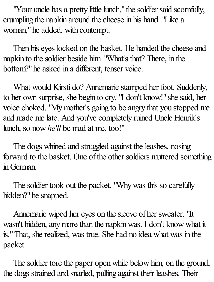"Your uncle has a pretty little lunch," the soldier said scornfully, crumpling the napkin around the cheese in his hand. "Like a woman," he added, with contempt.

Then his eyes locked on the basket. He handed the cheese and napkin to the soldier beside him. "What's that? There, in the bottom?" he asked in a different, tenser voice.

What would Kirsti do? Annemarie stamped her foot. Suddenly, to her own surprise, she begin to cry. "I don't know!" she said, her voice choked. "My mother's going to be angry that you stopped me and made me late. And you've completely ruined Uncle Henrik's lunch, so now *he'll* be mad at me, too!"

The dogs whined and struggled against the leashes, nosing forward to the basket. One of the other soldiers muttered something inGerman.

The soldier took out the packet. "Why was this so carefully hidden?" he snapped.

Annemarie wiped her eyes on the sleeve of her sweater. "It wasn't hidden, any more than the napkin was. I don't know what it is."That, sherealized, was true. She had no idea what was in the packet.

The soldier tore the paper open while below him, on the ground, the dogs strained and snarled, pulling against their leashes. Their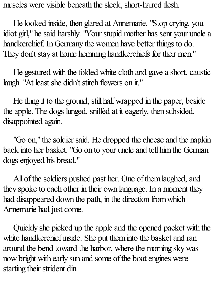muscles were visible beneath the sleek, short-haired flesh.

He looked inside, then glared at Annemarie. "Stop crying, you idiot girl," he said harshly. "Your stupid mother has sent your uncle a handkerchief. In Germany the women have better things to do. They don't stay at home hemming handkerchiefs for their men."

He gestured with the folded white cloth and gave a short, caustic laugh. "At least she didn't stitch flowers on it."

He flung it to the ground, still half wrapped in the paper, beside the apple. The dogs lunged, sniffed at it eagerly, then subsided, disappointed again.

"Go on," the soldier said. He dropped the cheese and the napkin back into her basket. "Go on to your uncleand tell himthe German dogs enjoyed his bread."

All of the soldiers pushed past her. One of them laughed, and they spoke to each other in their own language. In a moment they had disappeared down the path, in the direction fromwhich Annemarie had just come.

Quickly she picked up the apple and the opened packet with the white handkerchief inside. She put them into the basket and ran around the bend toward the harbor, where the morning sky was now bright with early sun and some of the boat engines were starting their strident din.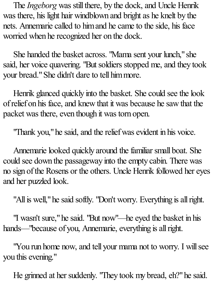The *Ingeborg* was still there, by the dock, and Uncle Henrik was there, his light hair windblown and bright as he knelt by the nets. Annemarie called to him and he came to the side, his face worried when herecognized her on the dock.

She handed the basket across. "Mama sent your lunch," she said, her voice quavering. "But soldiers stopped me, and they took your bread." She didn't dare to tell him more.

Henrik glanced quickly into the basket. She could see the look of relief on his face, and knew that it was because he saw that the packet was there, even though it was torn open.

"Thank you," he said, and the relief was evident in his voice.

Annemarie looked quickly around the familiar small boat. She could see down the passageway into the empty cabin. There was no sign of the Rosens or the others. Uncle Henrik followed her eyes and her puzzled look.

"All is well," he said softly. "Don't worry. Everything is all right.

"I wasn't sure," he said. "But now"—he eyed the basket in his hands—"because of you, Annemarie, everything is all right.

"You run home now, and tell your mama not to worry. I will see you this evening."

He grinned at her suddenly. "They took my bread, eh?" he said.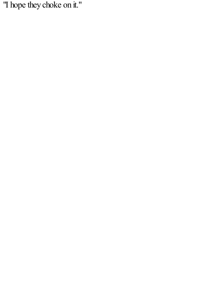"I hope they choke on it."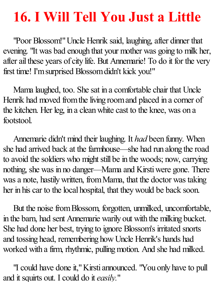## **16. I Will Tell You Just a Little**

"Poor Blossom!"Uncle Henrik said, laughing,after dinner that evening. "It was bad enough that your mother was going to milk her, after ail these years of city life. But Annemarie! To do it for the very first time! I'msurprised Blossomdidn't kick you!"

Mama laughed, too. She sat in a comfortable chair that Uncle Henrik had moved from the living room and placed in a corner of the kitchen. Her leg, in a clean white cast to the knee, was on a footstool.

Annemarie didn't mind their laughing. It *had* been funny. When she had arrived back at the farmhouse—she had run along the road to avoid the soldiers who might still be in the woods; now, carrying nothing, she was in no danger—Mama and Kirsti were gone. There wasa note, hastilywritten, fromMama, that the doctor was taking her in his car to the local hospital, that they would be back soon.

But the noise from Blossom, forgotten, unmilked, uncomfortable, in the barn, had sent Annemarie warily out with the milking bucket. She had done her best, trying to ignore Blossom's irritated snorts and tossing head, remembering howUncle Henrik's hands had worked with a firm, rhythmic, pulling motion. And she had milked.

"I could have done it," Kirsti announced. "You only have to pull and itsquirts out. Icould do it*easily.*"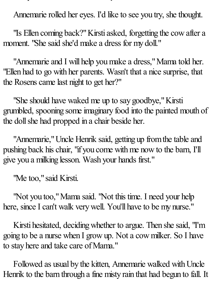and itsquirts out. Icould do it*easily.*"

Annemarie rolled her eyes. I'd like to see you try, she thought.

"Is Ellen coming back?" Kirsti asked, forgetting the cow after a moment. "She said she'd make a dress for my doll."

"Annemarie and I will help you make a dress," Mama told her. "Ellen had to go with her parents. Wasn't that a nice surprise, that the Rosens came last night to get her?"

"She should have waked me up to say goodbye," Kirsti grumbled, spooning some imaginary food into the painted mouth of the dollshe had propped in achair beside her.

"Annemarie," Uncle Henrik said, getting up from the table and pushing back his chair, "if you come with me now to the barn, I'll give you a milking lesson. Wash your hands first."

''Me too," said Kirsti.

"Not you too,"Mamasaid. "Not this time. I need your help here, since I can't walk very well. You'll have to be my nurse."

Kirsti hesitated, deciding whether to argue. Then she said, 'T'm going to bea nurse when I growup. Notacowmilker. So I have to stay here and take care of Mama."

Followed as usual by the kitten, Annemarie walked with Uncle Henrik to the barn through a fine misty rain that had begun to fall. It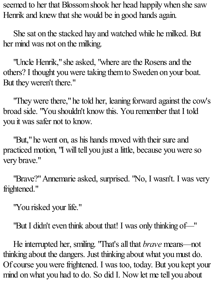seemed to her that Blossom shook her head happily when she saw Henrik and knew that she would be in good hands again.

She sat on the stacked hay and watched while he milked. But her mind was not on the milking.

"Uncle Henrik," she asked, "where are the Rosens and the others?I thought youweretaking themto Sweden on your boat. But they weren't there."

"They were there," he told her, leaning forward against the cow's broad side. "You shouldn't knowthis. You remember that I told you it was safer not to know.

"But," he went on, as his hands moved with their sure and practiced motion, "I will tell you just a little, because you were so very brave."

"Brave?" Annemarie asked, surprised. "No, I wasn't. I was very frightened."

"You risked your life."

"But I didn't even think about that! I was only thinking of—"

He interrupted her, smiling. "That's all that *brave* means—not thinking about the dangers. Just thinking about what youmust do. Ofcourse youwerefrightened. I was too, today. But you kept your mind on what you had to do. So did I. Now let me tell you about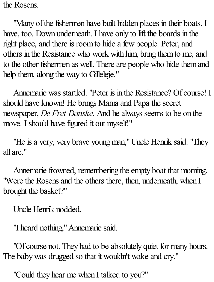the Rosens.

"Many of the fishermen have built hidden places in their boats. I have, too. Down underneath. I have only to lift the boards in the right place, and there is room to hide a few people. Peter, and others in the Resistance who work with him, bring them to me, and to the other fishermen as well. There are people who hide them and help them, along the way to Gilleleje."

Annemarie was startled. "Peter is in the Resistance? Of course! I should have known! He brings Mama and Papa the secret newspaper, *De Fret Danske.* And healways seems to be on the move. I should have figured it out myself!"

"He is a very, very brave young man," Uncle Henrik said. "They allare."

Annemarie frowned, remembering the empty boat that morning. "Were the Rosens and the others there, then, underneath, when I brought the basket?"

Uncle Henrik nodded.

"I heard nothing,"Annemariesaid.

"Of course not. They had to be absolutely quiet for many hours. The baby was drugged so that it wouldn't wake and cry."

"Could they hear me when I talked to you?"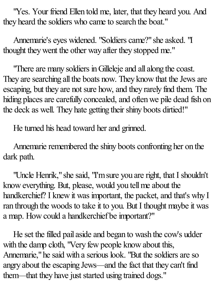"Yes. Your friend Ellen told me, later, that they heard you. And they heard the soldiers who came to search the boat."

Annemarie's eyes widened. "Soldiers came?" she asked. "I thought theywent the other way after they stopped me."

"There are many soldiers in Gilleleje and all along the coast. They are searching all the boats now. They know that the Jews are escaping, but they are notsure how,and they rarely find them. The hiding places are carefully concealed, and often we pile dead fish on the deck as well. They hate getting their shiny boots dirtied!"

He turned his head toward her and grinned.

Annemarie remembered the shiny boots confronting her on the dark path.

"Uncle Henrik,"shesaid, "I'msure you areright, that I shouldn't know everything. But, please, would you tell me about the handkerchief? I knew it was important, the packet, and that's why I ran through the woods to take it to you. But I thought maybe it was a map. How could a handkerchief be important?"

He set the filled pail aside and began to wash the cow's udder with the damp cloth, "Very few people know about this, Annemarie," he said with a serious look. "But the soldiers are so angry about the escaping Jews—and the fact that they can't find them—that they have just started using trained dogs."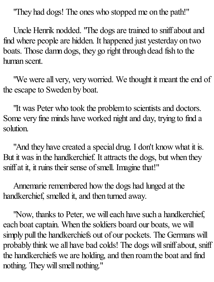"They had dogs! The ones who stopped me on the path!"

Uncle Henrik nodded. "The dogs are trained to sniff about and find where peopleare hidden. It happened just yesterday on two boats. Those damn dogs, they go right through dead fish to the human scent.

"We were all very, very worried. We thought it meant the end of the escape to Sweden by boat.

"It was Peter who took the problemto scientistsand doctors. Some very fine minds have worked night and day, trying to find a solution.

"And they have created a special drug. I don't know what it is. But it was in the handkerchief. It attracts the dogs, but when they sniff at it, it ruins their sense of smell. Imagine that!"

Annemarie remembered how the dogs had lunged at the handkerchief, smelled it, and then turned away.

"Now, thanks to Peter, we will each have such a handkerchief, each boat captain. When the soldiers board our boats, we will simply pull the handkerchiefs out of our pockets. The Germans will probably think weall have bad colds! The dogs willsniffabout, sniff the handkerchiefs we are holding, and then roam the boat and find nothing. They will smell nothing."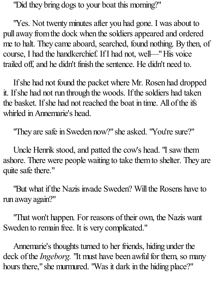"Did they bring dogs to your boat this morning?"

"Yes. Not twenty minutes after you had gone. I was about to pull away from the dock when the soldiers appeared and ordered me to halt. They came aboard, searched, found nothing. By then, of course, I had the handkerchief. IfI had not, well—"His voice trailed off, and he didn't finish the sentence. He didn't need to.

Ifshe had not found the packet where Mr. Rosen had dropped it. If she had not run through the woods. If the soldiers had taken the basket. If she had not reached the boat in time. All of the ifs whirled in Annemarie's head.

"They are safe in Sweden now?" she asked. "You're sure?"

Uncle Henrik stood, and patted the cow's head. "I saw them ashore. There were people waiting to take them to shelter. They are quite safe there."

"But what if the Nazis invade Sweden? Will the Rosens have to run away again?"

"That won't happen. For reasons of their own, the Nazis want Sweden to remain free. It is very complicated."

Annemarie's thoughts turned to her friends, hiding under the deck of the *Ingeborg*. "It must have been awful for them, so many hours there," she murmured. "Was it dark in the hiding place?"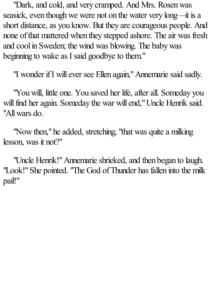"Dark, and cold, and very cramped. And Mrs. Rosen was seasick, even though we were not on the water very long—it is a short distance, as you know. But they are courageous people. And none of that mattered when they stepped ashore. The air was fresh and cool in Sweden; the wind was blowing. The baby was beginning to wake as I said goodbye to them."

"I wonder ifI willever see Ellen again,"Annemariesaid sadly.

"You will, little one. You saved her life, after all. Someday you will find her again. Someday the war will end," Uncle Henrik said. "Allwars do.

"Now then," he added, stretching, "that was quite a milking lesson, was it not?"

"Uncle Henrik!" Annemarie shrieked, and then began to laugh. "Look!"She pointed. "The God ofThunder has fallen into the milk pail!"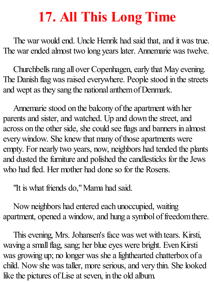## **17. All This Long Time**

The war would end. Uncle Henrik had said that, and it was true. The war ended almost two long years later. Annemarie was twelve.

Churchbells rang all over Copenhagen, early that May evening. The Danish flag was raised everywhere. People stood in the streets and wept as they sang the national anthem of Denmark.

Annemarie stood on the balcony of the apartment with her parents and sister, and watched. Up and down the street, and across on the other side, she could see flags and banners in almost every window. She knew that many of those apartments were empty. For nearly two years, now, neighbors had tended the plants and dusted the furniture and polished the candlesticks for the Jews who had fled. Her mother had doneso for the Rosens.

"It is what friends do,"Mama had said.

Nowneighbors had entered each unoccupied, waiting apartment, opened a window, and hung a symbol of freedom there.

This evening, Mrs. Johansen's face was wet with tears. Kirsti, waving a small flag, sang; her blue eyes were bright. Even Kirsti was growing up; no longer was she a lighthearted chatterbox of a child. Now she was taller, more serious, and very thin. She looked like the pictures of Lise at seven, in the old album.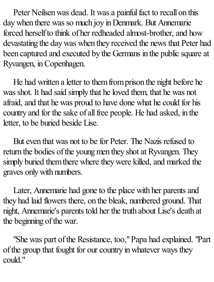Peter Neilsen was dead. It was a painful fact to recall on this day when there was so much joy in Denmark. But Annemarie forced herself to think of her redheaded almost-brother, and how devastating the daywas when they received the news that Peter had been captured and executed by the Germans in the public square at Ryvangen, inCopenhagen.

He had written a letter to them from prison the night before he was shot. It had said simply that he loved them, that he was not afraid, and that he was proud to have done what he could for his country and for the sake of all free people. He had asked, in the letter, to be buried beside Lise.

But even that was not to be for Peter. The Nazis refused to return the bodies of the young men they shot at Ryvangen. They simply buried them there where they were killed, and marked the graves onlywith numbers.

Later, Annemarie had gone to the place with her parents and they had laid flowers there, on the bleak, numbered ground. That night, Annemarie's parents told her the truth about Lise's death at the beginning of the war.

"She was part of the Resistance, too," Papa had explained. "Part ofthe group that fought for ourcountry inwhatever ways they could."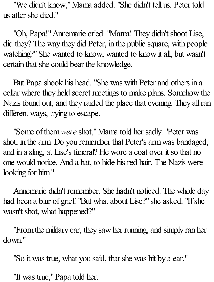"We didn't know," Mama added. "She didn't tell us. Peter told usafter she died."

"Oh, Papa!" Annemarie cried. "Mama! They didn't shoot Lise, did they? The way they did Peter, in the public square, with people watching?" She wanted to know, wanted to know it all, but wasn't certain that she could bear the knowledge.

But Papa shook his head. "She was with Peter and others in a cellar where they held secret meetings to make plans. Somehow the Nazis found out, and they raided the place that evening. They all ran different ways, trying to escape.

"Some ofthem*were*shot,"Mamatold her sadly. "Peter was shot, in the arm. Do you remember that Peter's arm was bandaged, and in a sling, at Lise's funeral? He wore a coat over it so that no one would notice. And a hat, to hide his red hair. The Nazis were looking for him."

Annemarie didn't remember. She hadn't noticed. The whole day had been a blur of grief. "But what about Lise?" she asked. "If she wasn't shot, what happened?"

"Fromthe military ear, they sawher running,and simply ran her down."

"So it was true, what you said, that she was hit by a ear."

"It was true," Papa told her.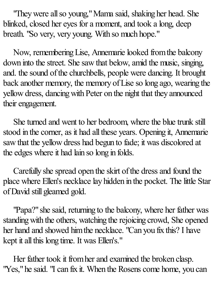"They were all so young," Mama said, shaking her head. She blinked, closed her eyes for a moment, and took a long, deep breath. "So very, very young. With so much hope."

Now, remembering Lise, Annemarie looked from the balcony down into the street. She saw that below, amid the music, singing, and, the sound of the churchbells, people were dancing. It brought back another memory, the memory of Lise so long ago, wearing the yellowdress, dancingwith Peter on the night that they announced their engagement.

She turned and went to her bedroom, where the blue trunk still stood in the corner, as it had all these years. Opening it, Annemarie sawthat the yellowdress had begun to fade; it was discolored at the edges where it had lain so long in folds.

Carefully she spread open the skirt of the dress and found the place where Ellen's necklace lay hidden in the pocket. The little Star ofDavid still gleamed gold.

"Papa?" she said, returning to the balcony, where her father was standing with the others, watching the rejoicing crowd, She opened her hand and showed himthe necklace. "Can you fix this?I have kept it all this long time. It was Ellen's."

Her father took it from her and examined the broken clasp. "Yes," he said. "I can fix it. When the Rosens come home, you can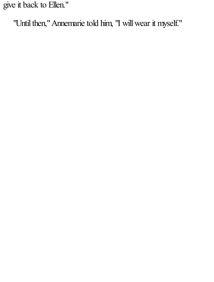give it back to Ellen."

"Until then," Annemarie told him, "I will wear it myself."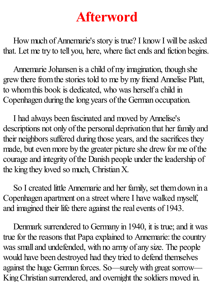## **Afterword**

How much of Annemarie's story is true? I know I will be asked that. Let me try to tell you, here, where fact ends and fiction begins.

Annemarie Johansen is a child of my imagination, though she grew there from the stories told to me by my friend Annelise Platt, to whom this book is dedicated, who was herself a child in Copenhagen during the long years of the German occupation.

I had always been fascinated and moved byAnnelise's descriptions not only of the personal deprivation that her family and their neighbors suffered during those years, and the sacrifices they made, but even more by the greater picture she drew for me of the courage and integrity of the Danish people under the leadership of the king they loved so much, ChristianX.

So I created little Annemarie and her family, set them down in a Copenhagen apartment on a street where I have walked myself, and imagined their life there against the real events of 1943.

Denmark surrendered to Germany in 1940, it is true; and it was true for the reasons that Papa explained to Annemarie: the country was small and undefended, with no army of any size. The people would have been destroyed had they tried to defend themselves against the huge German forces. So—surely with great sorrow— King Christian surrendered, and overnight the soldiers moved in.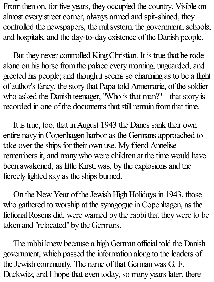KingChristian surrendered,and overnight thesoldiers moved in. From then on, for five years, they occupied the country. Visible on almost every street corner, always armed and spit-shined, they controlled the newspapers, the rail system, the government, schools, and hospitals, and the day-to-day existence of the Danish people.

But they never controlled King Christian. It is true that he rode alone on his horse from the palace every morning, unguarded, and greeted his people; and though it seems so charming as to be a flight of author's fancy, the story that Papa told Annemarie, of the soldier who asked the Danish teenager. "Who is that man?"—that story is recorded in one of the documents that still remain from that time.

It is true, too, that in August 1943 the Danes sank their own entire navy in Copenhagen harbor as the Germans approached to take over the ships for their own use. My friend Annelise remembers it, and many who were children at the time would have been awakened, as little Kirsti was, by the explosions and the fiercely lighted sky as the ships burned.

On the New Year of the Jewish High Holidays in 1943, those who gathered to worship at the synagogue in Copenhagen, as the fictional Rosens did, were warned by the rabbi that they were to be taken and "relocated" by the Germans.

The rabbi knew because a high German official told the Danish government, which passed the information along to the leaders of the Jewish community. The name of that German was G. F. Duckwitz, and I hope that even today, so many years later, there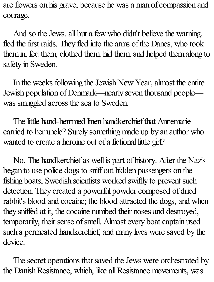are flowers on his grave, because he was a man of compassion and courage.

And so the Jews, all but a few who didn't believe the warning, fled the first raids. They fled into the arms of the Danes, who took them in, fed them, clothed them, hid them, and helped them along to safety in Sweden.

In the weeks following the Jewish New Year, almost the entire Jewish population of Denmark—nearly seven thousand people was smuggled across the sea to Sweden.

The little hand-hemmed linen handkerchief that Annemarie carried to her uncle? Surely something made up by an author who wanted to create a heroine out of a fictional little girl?

No. The handkerchief as well is part of history. After the Nazis began to use police dogs to sniff out hidden passengers on the fishing boats, Swedish scientists worked swiftly to prevent such detection. They created a powerful powder composed of dried rabbit's blood and cocaine; the blood attracted the dogs, and when they sniffed at it, the cocaine numbed their noses and destroyed, temporarily, their sense of smell. Almost every boat captain used such a permeated handkerchief, and many lives were saved by the device.

The secret operations that saved the Jews were orchestrated by the Danish Resistance, which, like all Resistance movements, was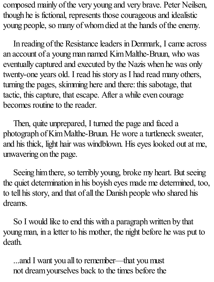composed mainly of the very young and very brave. Peter Neilsen, though he is fictional, represents those courageous and idealistic young people, so many of whom died at the hands of the enemy.

In reading of the Resistance leaders in Denmark, I came across an account of a young man named Kim Malthe-Bruun, who was eventually captured and executed by the Nazis when he was only twenty-one years old. I read his story as I had read many others, turning the pages, skimming here and there: this sabotage, that tactic, this capture, that escape. After a while even courage becomes routine to the reader.

Then, quite unprepared, I turned the page and faced a photograph of Kim Malthe-Bruun. He wore a turtleneck sweater, and his thick, light hair was windblown. His eyes looked out at me, unwavering on the page.

Seeing him there, so terribly young, broke my heart. But seeing the quiet determination in his boyish eyes made me determined, too, to tell his story, and that of all the Danish people who shared his dreams.

So I would like to end this with a paragraph written by that young man, in a letter to his mother, the night before he was put to death.

...and I want you all to remember—that you must not dream yourselves back to the times before the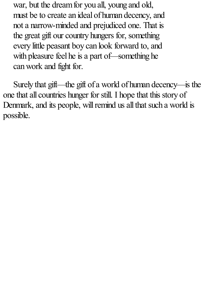war, but the dreamfor you all, young and old, must be to create an ideal of human decency, and nota narrow-minded and prejudiced one. That is the great gift our country hungers for, something every little peasant boy can look forward to, and with pleasure feel he is a part of—something he canwork and fight for.

Surely that gift—the gift ofa world of human decency—is the one that all countries hunger for still. I hope that this story of Denmark, and its people, will remind us all that such a world is possible.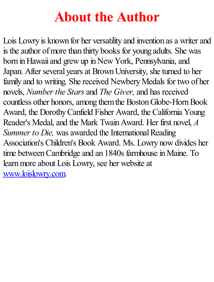## **About the Author**

Lois Lowry is known for her versatility and invention as a writer and is the author of more than thirty books for young adults. She was born in Hawaii and grew up in New York, Pennsylvania, and Japan. After several years at Brown University, she turned to her family and to writing. She received Newbery Medals for two of her novels, *Number the Stars*and *The Giver,*and has received countless other honors, among them the Boston Globe-Horn Book Award, the DorothyCanfield Fisher Award, the California Young Reader's Medal, and the Mark Twain Award. Her first novel, *A Summer to Die, was awarded the International Reading* Association's Children's Book Award. Ms. Lowry nowdivides her time between Cambridge and an 1840s farmhouse in Maine. To learn more about Lois Lowry, see her website at

www.loislowry.com.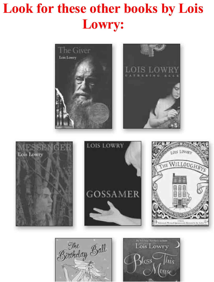## **Look for these other books by Lois Lowry:**